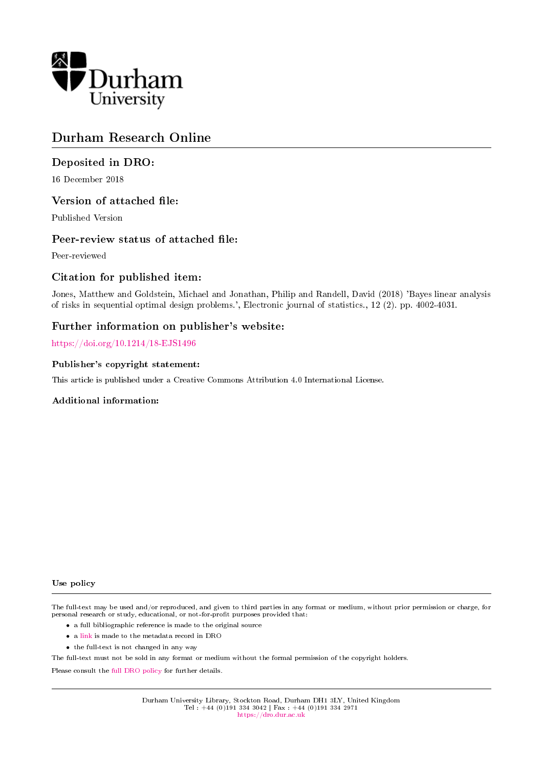

## Durham Research Online

## Deposited in DRO:

16 December 2018

## Version of attached file:

Published Version

## Peer-review status of attached file:

Peer-reviewed

## Citation for published item:

Jones, Matthew and Goldstein, Michael and Jonathan, Philip and Randell, David (2018) 'Bayes linear analysis of risks in sequential optimal design problems.', Electronic journal of statistics., 12 (2). pp. 4002-4031.

## Further information on publisher's website:

<https://doi.org/10.1214/18-EJS1496>

## Publisher's copyright statement:

This article is published under a Creative Commons Attribution 4.0 International License.

## Additional information:

#### Use policy

The full-text may be used and/or reproduced, and given to third parties in any format or medium, without prior permission or charge, for personal research or study, educational, or not-for-profit purposes provided that:

- a full bibliographic reference is made to the original source
- a [link](http://dro.dur.ac.uk/27017/) is made to the metadata record in DRO
- the full-text is not changed in any way

The full-text must not be sold in any format or medium without the formal permission of the copyright holders.

Please consult the [full DRO policy](https://dro.dur.ac.uk/policies/usepolicy.pdf) for further details.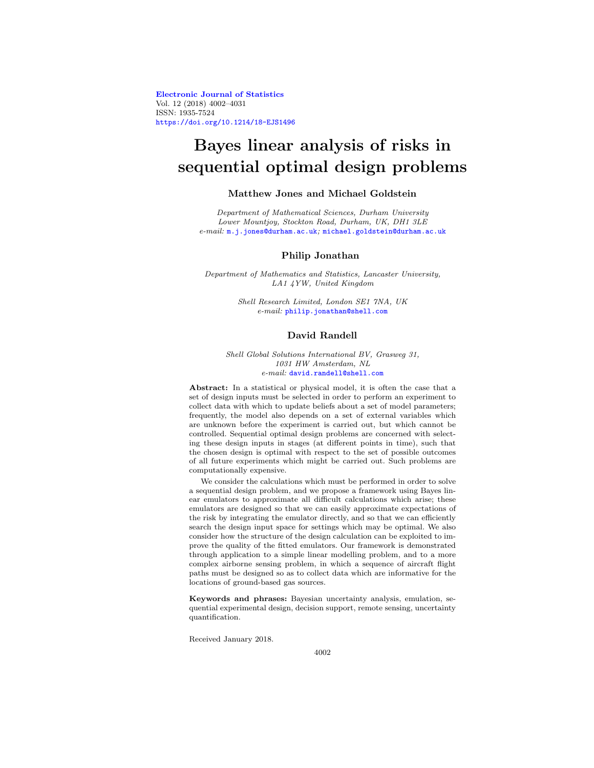**[Electronic Journal of Statistics](http://projecteuclid.org/ejs)** Vol. 12 (2018) 4002–4031 ISSN: 1935-7524 <https://doi.org/10.1214/18-EJS1496>

# **Bayes linear analysis of risks in sequential optimal design problems**

#### **Matthew Jones and Michael Goldstein**

Department of Mathematical Sciences, Durham University Lower Mountjoy, Stockton Road, Durham, UK, DH1 3LE e-mail:  $m$ .j.jones@durham.ac.uk; [michael.goldstein@durham.ac.uk](mailto:michael.goldstein@durham.ac.uk)

#### **Philip Jonathan**

Department of Mathematics and Statistics, Lancaster University, LA1 4YW, United Kingdom

> Shell Research Limited, London SE1 7NA, UK e-mail: [philip.jonathan@shell.com](mailto:philip.jonathan@shell.com)

#### **David Randell**

Shell Global Solutions International BV, Grasweg 31, 1031 HW Amsterdam, NL e-mail: [david.randell@shell.com](mailto:david.randell@shell.com)

**Abstract:** In a statistical or physical model, it is often the case that a set of design inputs must be selected in order to perform an experiment to collect data with which to update beliefs about a set of model parameters; frequently, the model also depends on a set of external variables which are unknown before the experiment is carried out, but which cannot be controlled. Sequential optimal design problems are concerned with selecting these design inputs in stages (at different points in time), such that the chosen design is optimal with respect to the set of possible outcomes of all future experiments which might be carried out. Such problems are computationally expensive.

We consider the calculations which must be performed in order to solve a sequential design problem, and we propose a framework using Bayes linear emulators to approximate all difficult calculations which arise; these emulators are designed so that we can easily approximate expectations of the risk by integrating the emulator directly, and so that we can efficiently search the design input space for settings which may be optimal. We also consider how the structure of the design calculation can be exploited to improve the quality of the fitted emulators. Our framework is demonstrated through application to a simple linear modelling problem, and to a more complex airborne sensing problem, in which a sequence of aircraft flight paths must be designed so as to collect data which are informative for the locations of ground-based gas sources.

**Keywords and phrases:** Bayesian uncertainty analysis, emulation, sequential experimental design, decision support, remote sensing, uncertainty quantification.

Received January 2018.

4002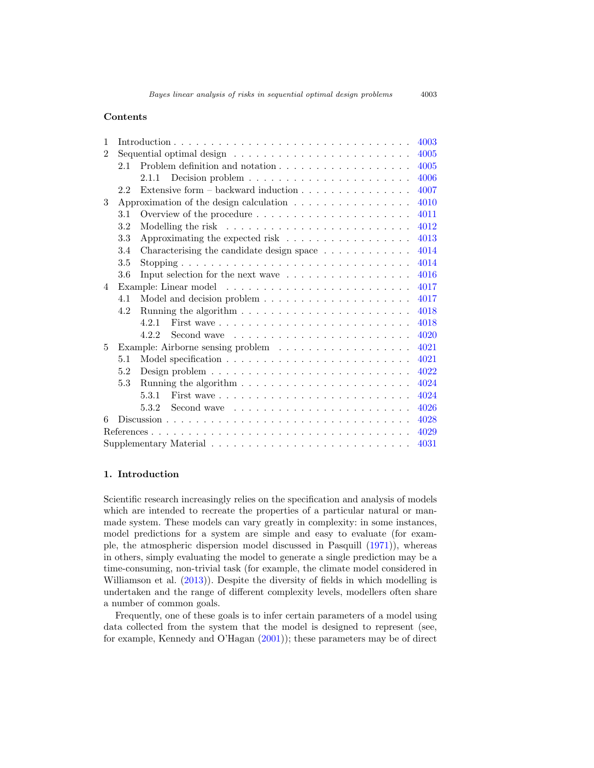#### **Contents**

| 1              |                                                                                        | 4003 |  |
|----------------|----------------------------------------------------------------------------------------|------|--|
| $\mathfrak{D}$ |                                                                                        | 4005 |  |
|                | 2.1                                                                                    | 4005 |  |
|                |                                                                                        | 4006 |  |
|                | Extensive form $-$ backward induction $\ldots \ldots \ldots \ldots \ldots$<br>2.2      | 4007 |  |
| 3              | Approximation of the design calculation $\ldots \ldots \ldots \ldots \ldots$           | 4010 |  |
|                | 3.1                                                                                    | 4011 |  |
|                | $3.2\,$                                                                                | 4012 |  |
|                | Approximating the expected risk $\ldots \ldots \ldots \ldots \ldots \ldots$<br>3.3     | 4013 |  |
|                | 3.4<br>Characterising the candidate design space $\ldots \ldots \ldots \ldots$         | 4014 |  |
|                | 3.5                                                                                    | 4014 |  |
|                | 3.6<br>Input selection for the next wave $\dots \dots \dots \dots \dots \dots$         | 4016 |  |
| $\overline{4}$ |                                                                                        | 4017 |  |
|                | 4.1                                                                                    | 4017 |  |
|                | Running the algorithm $\ldots \ldots \ldots \ldots \ldots \ldots \ldots \ldots$<br>4.2 | 4018 |  |
|                | 4.2.1                                                                                  | 4018 |  |
|                | Second wave $\dots \dots \dots \dots \dots \dots \dots \dots$<br>4.2.2                 | 4020 |  |
| 5              |                                                                                        | 4021 |  |
|                | 5.1                                                                                    | 4021 |  |
|                | 5.2                                                                                    | 4022 |  |
|                | 5.3                                                                                    | 4024 |  |
|                | 5.3.1                                                                                  | 4024 |  |
|                | Second wave $\ldots \ldots \ldots \ldots \ldots \ldots \ldots \ldots$<br>5.3.2         | 4026 |  |
| 6              |                                                                                        | 4028 |  |
|                | 4029                                                                                   |      |  |
| 4031           |                                                                                        |      |  |

#### <span id="page-2-0"></span>**1. Introduction**

Scientific research increasingly relies on the specification and analysis of models which are intended to recreate the properties of a particular natural or manmade system. These models can vary greatly in complexity: in some instances, model predictions for a system are simple and easy to evaluate (for example, the atmospheric dispersion model discussed in Pasquill [\(1971](#page-29-0))), whereas in others, simply evaluating the model to generate a single prediction may be a time-consuming, non-trivial task (for example, the climate model considered in Williamson et al.  $(2013)$ ). Despite the diversity of fields in which modelling is undertaken and the range of different complexity levels, modellers often share a number of common goals.

Frequently, one of these goals is to infer certain parameters of a model using data collected from the system that the model is designed to represent (see, for example, Kennedy and O'Hagan [\(2001\)](#page-29-1)); these parameters may be of direct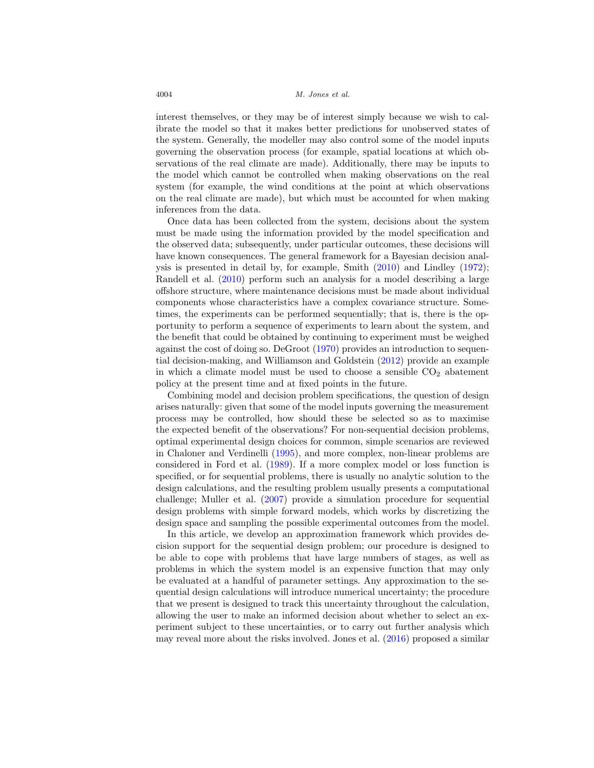interest themselves, or they may be of interest simply because we wish to calibrate the model so that it makes better predictions for unobserved states of the system. Generally, the modeller may also control some of the model inputs governing the observation process (for example, spatial locations at which observations of the real climate are made). Additionally, there may be inputs to the model which cannot be controlled when making observations on the real system (for example, the wind conditions at the point at which observations on the real climate are made), but which must be accounted for when making inferences from the data.

Once data has been collected from the system, decisions about the system must be made using the information provided by the model specification and the observed data; subsequently, under particular outcomes, these decisions will have known consequences. The general framework for a Bayesian decision analysis is presented in detail by, for example, Smith [\(2010\)](#page-30-2) and Lindley [\(1972\)](#page-29-2); Randell et al. [\(2010\)](#page-29-3) perform such an analysis for a model describing a large offshore structure, where maintenance decisions must be made about individual components whose characteristics have a complex covariance structure. Sometimes, the experiments can be performed sequentially; that is, there is the opportunity to perform a sequence of experiments to learn about the system, and the benefit that could be obtained by continuing to experiment must be weighed against the cost of doing so. DeGroot [\(1970](#page-28-1)) provides an introduction to sequential decision-making, and Williamson and Goldstein [\(2012\)](#page-30-3) provide an example in which a climate model must be used to choose a sensible  $CO<sub>2</sub>$  abatement policy at the present time and at fixed points in the future.

Combining model and decision problem specifications, the question of design arises naturally: given that some of the model inputs governing the measurement process may be controlled, how should these be selected so as to maximise the expected benefit of the observations? For non-sequential decision problems, optimal experimental design choices for common, simple scenarios are reviewed in Chaloner and Verdinelli [\(1995\)](#page-28-2), and more complex, non-linear problems are considered in Ford et al. [\(1989](#page-29-4)). If a more complex model or loss function is specified, or for sequential problems, there is usually no analytic solution to the design calculations, and the resulting problem usually presents a computational challenge; Muller et al. [\(2007\)](#page-29-5) provide a simulation procedure for sequential design problems with simple forward models, which works by discretizing the design space and sampling the possible experimental outcomes from the model.

In this article, we develop an approximation framework which provides decision support for the sequential design problem; our procedure is designed to be able to cope with problems that have large numbers of stages, as well as problems in which the system model is an expensive function that may only be evaluated at a handful of parameter settings. Any approximation to the sequential design calculations will introduce numerical uncertainty; the procedure that we present is designed to track this uncertainty throughout the calculation, allowing the user to make an informed decision about whether to select an experiment subject to these uncertainties, or to carry out further analysis which may reveal more about the risks involved. Jones et al. [\(2016](#page-29-6)) proposed a similar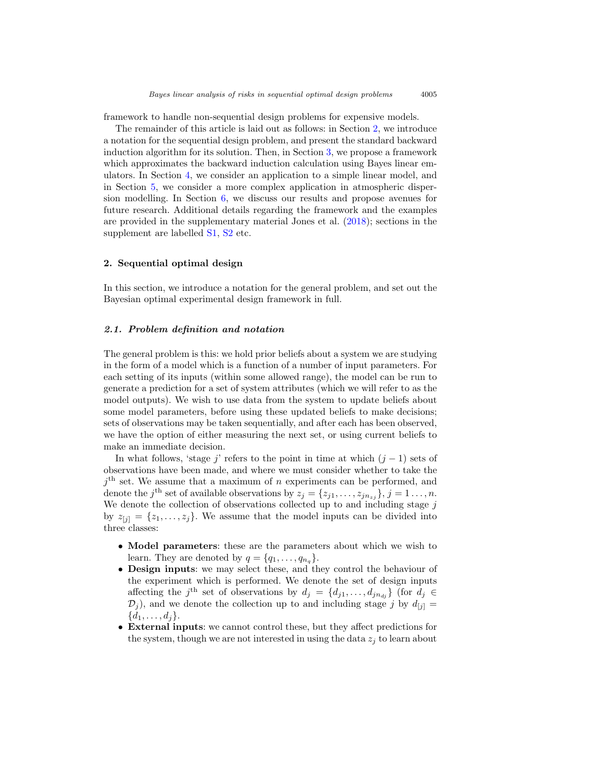framework to handle non-sequential design problems for expensive models.

The remainder of this article is laid out as follows: in Section [2,](#page-4-0) we introduce a notation for the sequential design problem, and present the standard backward induction algorithm for its solution. Then, in Section [3,](#page-9-0) we propose a framework which approximates the backward induction calculation using Bayes linear emulators. In Section [4,](#page-16-0) we consider an application to a simple linear model, and in Section [5,](#page-20-0) we consider a more complex application in atmospheric dispersion modelling. In Section [6,](#page-27-0) we discuss our results and propose avenues for future research. Additional details regarding the framework and the examples are provided in the supplementary material Jones et al. [\(2018\)](#page-29-7); sections in the supplement are labelled [S1,](#page-2-0) [S2](#page-4-0) etc.

#### <span id="page-4-0"></span>**2. Sequential optimal design**

In this section, we introduce a notation for the general problem, and set out the Bayesian optimal experimental design framework in full.

#### <span id="page-4-1"></span>*2.1. Problem definition and notation*

The general problem is this: we hold prior beliefs about a system we are studying in the form of a model which is a function of a number of input parameters. For each setting of its inputs (within some allowed range), the model can be run to generate a prediction for a set of system attributes (which we will refer to as the model outputs). We wish to use data from the system to update beliefs about some model parameters, before using these updated beliefs to make decisions; sets of observations may be taken sequentially, and after each has been observed, we have the option of either measuring the next set, or using current beliefs to make an immediate decision.

In what follows, 'stage j' refers to the point in time at which  $(j - 1)$  sets of observations have been made, and where we must consider whether to take the  $j<sup>th</sup>$  set. We assume that a maximum of n experiments can be performed, and denote the j<sup>th</sup> set of available observations by  $z_j = \{z_{j1}, \ldots, z_{jn_z}\}, j = 1 \ldots, n$ . We denote the collection of observations collected up to and including stage  $j$ by  $z_{[j]} = \{z_1, \ldots, z_j\}$ . We assume that the model inputs can be divided into three classes:

- **Model parameters**: these are the parameters about which we wish to learn. They are denoted by  $q = \{q_1, \ldots, q_{n_q}\}.$
- **Design inputs**: we may select these, and they control the behaviour of the experiment which is performed. We denote the set of design inputs affecting the j<sup>th</sup> set of observations by  $d_j = \{d_{j1},...,d_{jn_{dj}}\}$  (for  $d_j \in$  $\mathcal{D}_i$ ), and we denote the collection up to and including stage j by  $d_{[i]} =$  $\{d_1,\ldots,d_i\}.$
- **External inputs**: we cannot control these, but they affect predictions for the system, though we are not interested in using the data  $z_i$  to learn about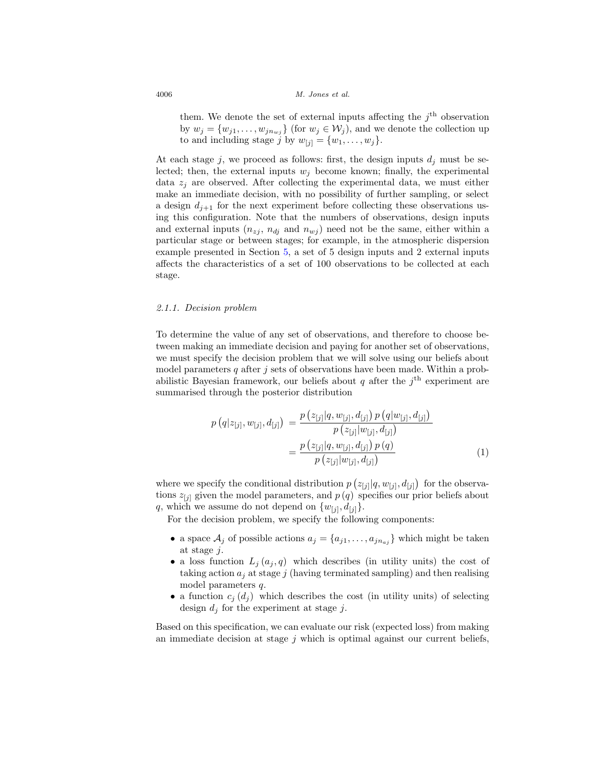them. We denote the set of external inputs affecting the  $j<sup>th</sup>$  observation by  $w_j = \{w_{j1}, \ldots, w_{jn_{mj}}\}$  (for  $w_j \in \mathcal{W}_j$ ), and we denote the collection up to and including stage j by  $w_{[j]} = \{w_1, \ldots, w_j\}.$ 

At each stage j, we proceed as follows: first, the design inputs  $d_i$  must be selected; then, the external inputs  $w_i$  become known; finally, the experimental data  $z_i$  are observed. After collecting the experimental data, we must either make an immediate decision, with no possibility of further sampling, or select a design  $d_{j+1}$  for the next experiment before collecting these observations using this configuration. Note that the numbers of observations, design inputs and external inputs  $(n_{zj}, n_{dj} \text{ and } n_{wj})$  need not be the same, either within a particular stage or between stages; for example, in the atmospheric dispersion example presented in Section [5,](#page-20-0) a set of 5 design inputs and 2 external inputs affects the characteristics of a set of 100 observations to be collected at each stage.

#### <span id="page-5-0"></span>2.1.1. Decision problem

To determine the value of any set of observations, and therefore to choose between making an immediate decision and paying for another set of observations, we must specify the decision problem that we will solve using our beliefs about model parameters q after j sets of observations have been made. Within a probabilistic Bayesian framework, our beliefs about q after the  $i<sup>th</sup>$  experiment are summarised through the posterior distribution

<span id="page-5-1"></span>
$$
p(q|z_{[j]}, w_{[j]}, d_{[j]}) = \frac{p(z_{[j]}|q, w_{[j]}, d_{[j]}) p(q|w_{[j]}, d_{[j]})}{p(z_{[j]}|w_{[j]}, d_{[j]})}
$$

$$
= \frac{p(z_{[j]}|q, w_{[j]}, d_{[j]}) p(q)}{p(z_{[j]}|w_{[j]}, d_{[j]})}
$$
(1)

where we specify the conditional distribution  $p(z_{[j]}|q, w_{[j]}, d_{[j]})$  for the observations  $z_{[j]}$  given the model parameters, and  $p(q)$  specifies our prior beliefs about q, which we assume do not depend on  $\{w_{[i]}, d_{[j]}\}.$ 

For the decision problem, we specify the following components:

- a space  $A_j$  of possible actions  $a_j = \{a_{j1}, \ldots, a_{jn_{aj}}\}$  which might be taken at stage j.
- a loss function  $L_i(a_i, q)$  which describes (in utility units) the cost of taking action  $a_i$  at stage j (having terminated sampling) and then realising model parameters q.
- a function  $c_j(d_j)$  which describes the cost (in utility units) of selecting design  $d_j$  for the experiment at stage j.

Based on this specification, we can evaluate our risk (expected loss) from making an immediate decision at stage  $j$  which is optimal against our current beliefs,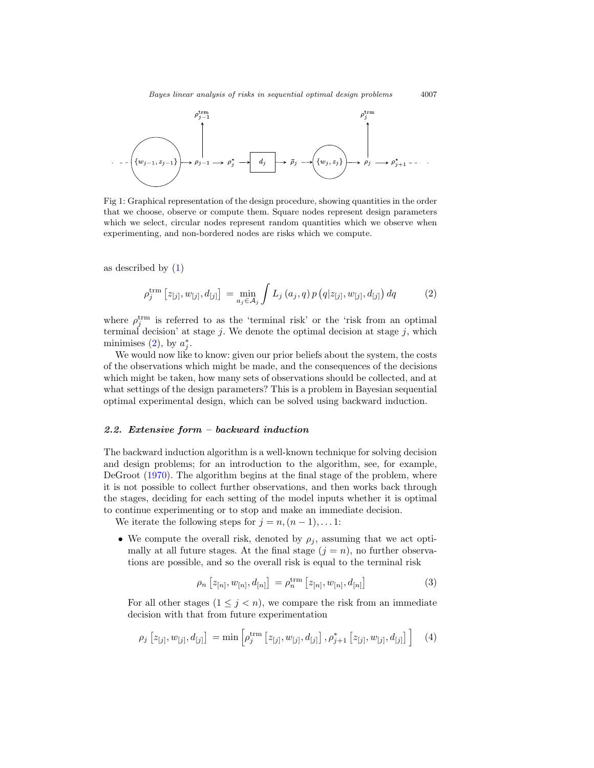<span id="page-6-2"></span>

Fig 1: Graphical representation of the design procedure, showing quantities in the order that we choose, observe or compute them. Square nodes represent design parameters which we select, circular nodes represent random quantities which we observe when experimenting, and non-bordered nodes are risks which we compute.

as described by [\(1\)](#page-5-1)

<span id="page-6-1"></span>
$$
\rho_j^{\text{trm}} \left[ z_{[j]}, w_{[j]}, d_{[j]} \right] = \min_{a_j \in \mathcal{A}_j} \int L_j(a_j, q) \, p \left( q | z_{[j]}, w_{[j]}, d_{[j]} \right) dq \tag{2}
$$

where  $\rho_j^{\text{trm}}$  is referred to as the 'terminal risk' or the 'risk from an optimal terminal decision' at stage  $j$ . We denote the optimal decision at stage  $j$ , which minimises  $(2)$ , by  $a_j^*$ .

We would now like to know: given our prior beliefs about the system, the costs of the observations which might be made, and the consequences of the decisions which might be taken, how many sets of observations should be collected, and at what settings of the design parameters? This is a problem in Bayesian sequential optimal experimental design, which can be solved using backward induction.

#### <span id="page-6-0"></span>*2.2. Extensive form – backward induction*

The backward induction algorithm is a well-known technique for solving decision and design problems; for an introduction to the algorithm, see, for example, DeGroot [\(1970\)](#page-28-1). The algorithm begins at the final stage of the problem, where it is not possible to collect further observations, and then works back through the stages, deciding for each setting of the model inputs whether it is optimal to continue experimenting or to stop and make an immediate decision.

We iterate the following steps for  $j = n,(n-1),\ldots 1$ :

• We compute the overall risk, denoted by  $\rho_i$ , assuming that we act optimally at all future stages. At the final stage  $(j = n)$ , no further observations are possible, and so the overall risk is equal to the terminal risk

<span id="page-6-4"></span>
$$
\rho_n \left[ z_{[n]}, w_{[n]}, d_{[n]} \right] = \rho_n^{\text{trm}} \left[ z_{[n]}, w_{[n]}, d_{[n]} \right]
$$
\n(3)

For all other stages  $(1 \leq j < n)$ , we compare the risk from an immediate decision with that from future experimentation

<span id="page-6-3"></span>
$$
\rho_j \left[ z_{[j]}, w_{[j]}, d_{[j]} \right] = \min \left[ \rho_j^{\text{trm}} \left[ z_{[j]}, w_{[j]}, d_{[j]} \right], \rho_{j+1}^* \left[ z_{[j]}, w_{[j]}, d_{[j]} \right] \right] \tag{4}
$$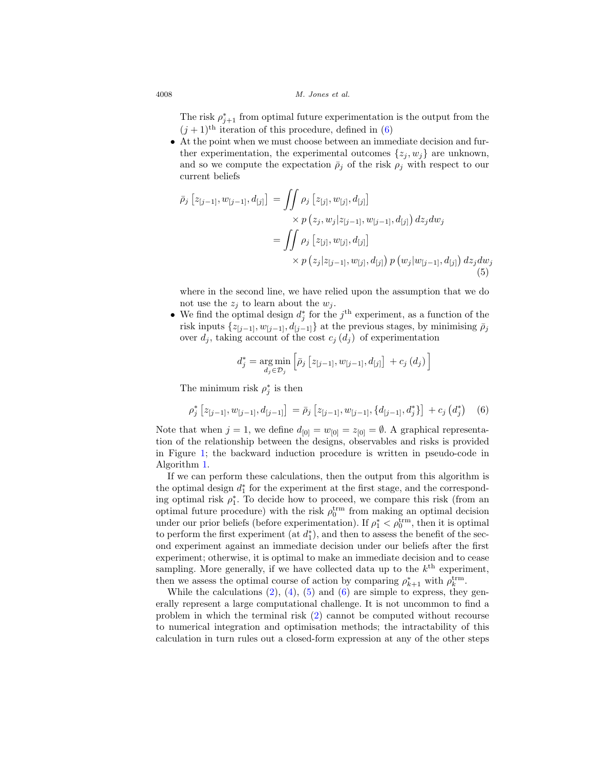The risk  $\rho_{j+1}^*$  from optimal future experimentation is the output from the  $(j + 1)$ <sup>th</sup> iteration of this procedure, defined in [\(6\)](#page-7-0)

• At the point when we must choose between an immediate decision and further experimentation, the experimental outcomes  $\{z_i, w_j\}$  are unknown, and so we compute the expectation  $\bar{\rho}_j$  of the risk  $\rho_j$  with respect to our current beliefs

$$
\bar{\rho}_{j}\left[z_{[j-1]}, w_{[j-1]}, d_{[j]}\right] = \iint \rho_{j}\left[z_{[j]}, w_{[j]}, d_{[j]}\right] \times p\left(z_{j}, w_{j}|z_{[j-1]}, w_{[j-1]}, d_{[j]}\right) dz_{j} dw_{j}
$$
\n
$$
= \iint \rho_{j}\left[z_{[j]}, w_{[j]}, d_{[j]}\right] \times p\left(z_{j}|z_{[j-1]}, w_{[j]}, d_{[j]}\right) p\left(w_{j}|w_{[j-1]}, d_{[j]}\right) dz_{j} dw_{j}
$$
\n(5)

where in the second line, we have relied upon the assumption that we do not use the  $z_j$  to learn about the  $w_j$ .

• We find the optimal design  $d_j^*$  for the  $j^{\text{th}}$  experiment, as a function of the risk inputs  $\{z_{[j-1]}, w_{[j-1]}, d_{[j-1]}\}$  at the previous stages, by minimising  $\overline{\rho}_j$ over  $d_j$ , taking account of the cost  $c_j$  ( $d_j$ ) of experimentation

<span id="page-7-1"></span>
$$
d_j^* = \underset{d_j \in \mathcal{D}_j}{\arg \min} \left[ \bar{\rho}_j \left[ z_{[j-1]}, w_{[j-1]}, d_{[j]} \right] + c_j \left( d_j \right) \right]
$$

The minimum risk  $\rho_j^*$  is then

<span id="page-7-0"></span>
$$
\rho_j^* \left[ z_{[j-1]}, w_{[j-1]}, d_{[j-1]} \right] = \bar{\rho}_j \left[ z_{[j-1]}, w_{[j-1]}, \{ d_{[j-1]}, d_j^* \} \right] + c_j \left( d_j^* \right) \tag{6}
$$

Note that when  $j = 1$ , we define  $d_{[0]} = w_{[0]} = z_{[0]} = \emptyset$ . A graphical representation of the relationship between the designs, observables and risks is provided in Figure [1;](#page-6-2) the backward induction procedure is written in pseudo-code in Algorithm 1.

If we can perform these calculations, then the output from this algorithm is the optimal design  $d_1^*$  for the experiment at the first stage, and the corresponding optimal risk  $\rho_1^*$ . To decide how to proceed, we compare this risk (from an optimal future procedure) with the risk  $\rho_0^{\text{trm}}$  from making an optimal decision under our prior beliefs (before experimentation). If  $\rho_1^* < \rho_0^{\text{trm}}$ , then it is optimal to perform the first experiment (at  $d_1^*$ ), and then to assess the benefit of the second experiment against an immediate decision under our beliefs after the first experiment; otherwise, it is optimal to make an immediate decision and to cease sampling. More generally, if we have collected data up to the  $k<sup>th</sup>$  experiment, then we assess the optimal course of action by comparing  $\rho_{k+1}^*$  with  $\rho_k^{\text{trm}}$ .

While the calculations  $(2)$ ,  $(4)$ ,  $(5)$  and  $(6)$  are simple to express, they generally represent a large computational challenge. It is not uncommon to find a problem in which the terminal risk [\(2\)](#page-6-1) cannot be computed without recourse to numerical integration and optimisation methods; the intractability of this calculation in turn rules out a closed-form expression at any of the other steps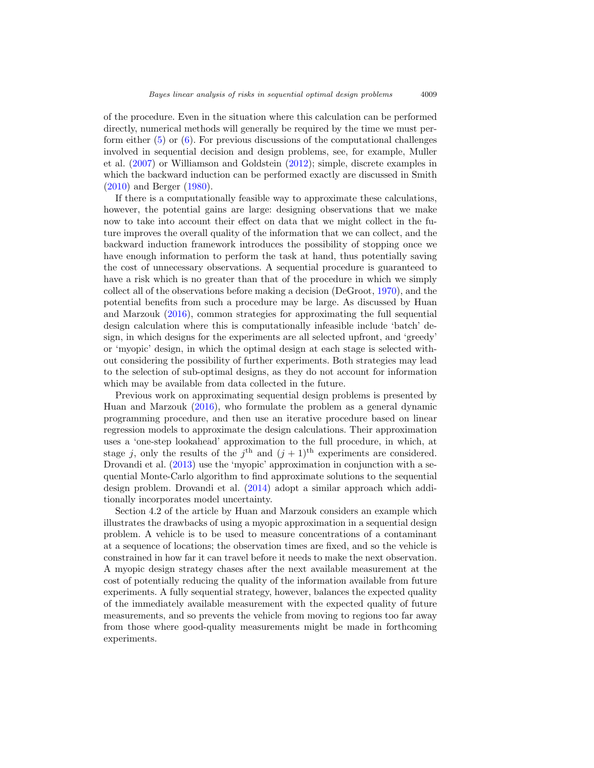of the procedure. Even in the situation where this calculation can be performed directly, numerical methods will generally be required by the time we must perform either  $(5)$  or  $(6)$ . For previous discussions of the computational challenges involved in sequential decision and design problems, see, for example, Muller et al. [\(2007\)](#page-29-5) or Williamson and Goldstein [\(2012\)](#page-30-3); simple, discrete examples in which the backward induction can be performed exactly are discussed in Smith [\(2010\)](#page-30-2) and Berger [\(1980](#page-28-3)).

If there is a computationally feasible way to approximate these calculations, however, the potential gains are large: designing observations that we make now to take into account their effect on data that we might collect in the future improves the overall quality of the information that we can collect, and the backward induction framework introduces the possibility of stopping once we have enough information to perform the task at hand, thus potentially saving the cost of unnecessary observations. A sequential procedure is guaranteed to have a risk which is no greater than that of the procedure in which we simply collect all of the observations before making a decision (DeGroot, [1970\)](#page-28-1), and the potential benefits from such a procedure may be large. As discussed by Huan and Marzouk [\(2016\)](#page-29-8), common strategies for approximating the full sequential design calculation where this is computationally infeasible include 'batch' design, in which designs for the experiments are all selected upfront, and 'greedy' or 'myopic' design, in which the optimal design at each stage is selected without considering the possibility of further experiments. Both strategies may lead to the selection of sub-optimal designs, as they do not account for information which may be available from data collected in the future.

Previous work on approximating sequential design problems is presented by Huan and Marzouk [\(2016\)](#page-29-8), who formulate the problem as a general dynamic programming procedure, and then use an iterative procedure based on linear regression models to approximate the design calculations. Their approximation uses a 'one-step lookahead' approximation to the full procedure, in which, at stage j, only the results of the j<sup>th</sup> and  $(j + 1)$ <sup>th</sup> experiments are considered. Drovandi et al. [\(2013](#page-28-4)) use the 'myopic' approximation in conjunction with a sequential Monte-Carlo algorithm to find approximate solutions to the sequential design problem. Drovandi et al. [\(2014](#page-29-9)) adopt a similar approach which additionally incorporates model uncertainty.

Section 4.2 of the article by Huan and Marzouk considers an example which illustrates the drawbacks of using a myopic approximation in a sequential design problem. A vehicle is to be used to measure concentrations of a contaminant at a sequence of locations; the observation times are fixed, and so the vehicle is constrained in how far it can travel before it needs to make the next observation. A myopic design strategy chases after the next available measurement at the cost of potentially reducing the quality of the information available from future experiments. A fully sequential strategy, however, balances the expected quality of the immediately available measurement with the expected quality of future measurements, and so prevents the vehicle from moving to regions too far away from those where good-quality measurements might be made in forthcoming experiments.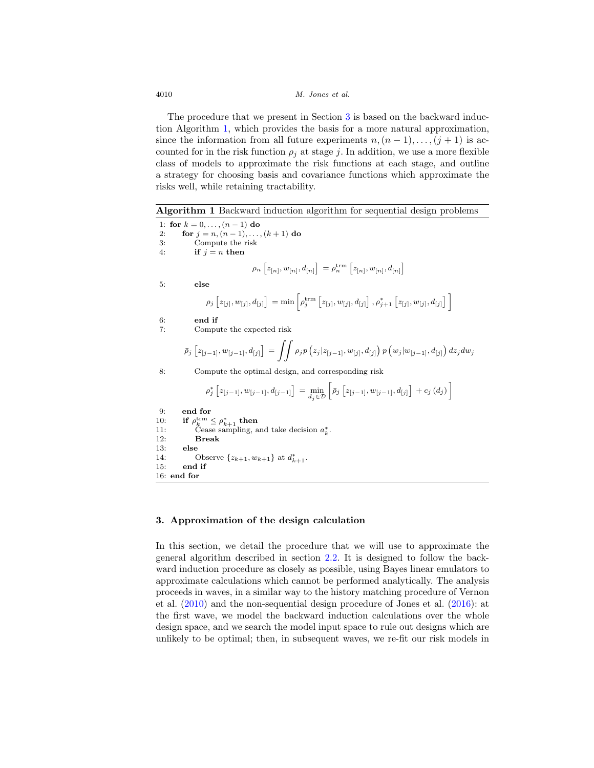The procedure that we present in Section [3](#page-9-0) is based on the backward induction Algorithm 1, which provides the basis for a more natural approximation, since the information from all future experiments  $n,(n-1),\ldots,(j+1)$  is accounted for in the risk function  $\rho_i$  at stage j. In addition, we use a more flexible class of models to approximate the risk functions at each stage, and outline a strategy for choosing basis and covariance functions which approximate the risks well, while retaining tractability.

**Algorithm 1** Backward induction algorithm for sequential design problems

1: **for**  $k = 0, ..., (n-1)$  **do** 2: **for**  $j = n, (n - 1), \ldots, (k + 1)$  **do** 3: Compute the risk 4: **if**  $j = n$  **then**  $\rho_n\left[z_{[n]}, w_{[n]}, d_{[n]}\right] = \rho_n^{\text{trm}}\left[z_{[n]}, w_{[n]}, d_{[n]}\right],$ 5: **else**  $\rho_j\left[z_{[j]}, w_{[j]}, d_{[j]}\right] = \min\left[\rho_j^\textup{\text{trm}}\left[z_{[j]}, w_{[j]}, d_{[j]}\right], \rho_{j+1}^*\left[z_{[j]}, w_{[j]}, d_{[j]}\right]\right]$ 6: **end if** 7: Compute the expected risk  $\bar{\rho}_j\left[z_{[j-1]}, w_{[j-1]}, d_{[j]}\right] \,=\, \int\!\!\int \rho_j p\left(z_j|z_{[j-1]}, w_{[j]}, d_{[j]}\right) p\left(w_j|w_{[j-1]}, d_{[j]}\right) dz_j dw_j$ 8: Compute the optimal design, and corresponding risk  $\rho_j^* \left[ z_{[j-1]}, w_{[j-1]}, d_{[j-1]} \right] = \min_{d_j \in \mathcal{D}} \left[ \bar{\rho}_j \left[ z_{[j-1]}, w_{[j-1]}, d_{[j]} \right] + c_j \left( d_j \right) \right]$ 9: **end for**<br>10: **if**  $\rho_k^{\text{trm}}$ . 10: **if**  $\rho_k^{\text{trm}} \leq \rho_{k+1}^*$  **then** 11: Cease sampling, and take decision  $a_k^*$ . 12: **Break** 13: **else** 14: Observe  $\{z_{k+1}, w_{k+1}\}$  at  $d_{k+1}^*$ . 15: **end if** 16: **end for**

#### <span id="page-9-0"></span>**3. Approximation of the design calculation**

In this section, we detail the procedure that we will use to approximate the general algorithm described in section [2.2.](#page-6-0) It is designed to follow the backward induction procedure as closely as possible, using Bayes linear emulators to approximate calculations which cannot be performed analytically. The analysis proceeds in waves, in a similar way to the history matching procedure of Vernon et al. [\(2010](#page-30-4)) and the non-sequential design procedure of Jones et al. [\(2016](#page-29-6)): at the first wave, we model the backward induction calculations over the whole design space, and we search the model input space to rule out designs which are unlikely to be optimal; then, in subsequent waves, we re-fit our risk models in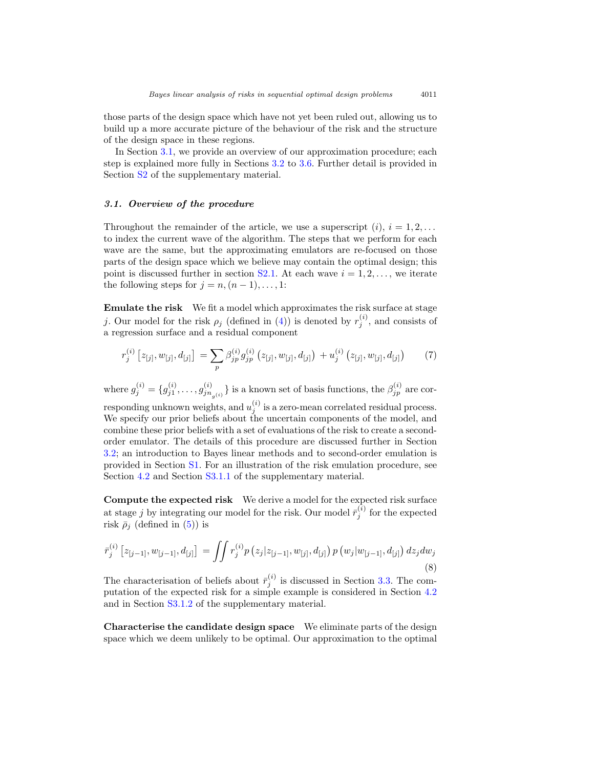those parts of the design space which have not yet been ruled out, allowing us to build up a more accurate picture of the behaviour of the risk and the structure of the design space in these regions.

In Section [3.1,](#page-10-0) we provide an overview of our approximation procedure; each step is explained more fully in Sections [3.2](#page-11-0) to [3.6.](#page-15-0) Further detail is provided in Section [S2](#page-4-0) of the supplementary material.

#### <span id="page-10-0"></span>*3.1. Overview of the procedure*

Throughout the remainder of the article, we use a superscript  $(i)$ ,  $i = 1, 2, \ldots$ to index the current wave of the algorithm. The steps that we perform for each wave are the same, but the approximating emulators are re-focused on those parts of the design space which we believe may contain the optimal design; this point is discussed further in section [S2.1.](#page-4-1) At each wave  $i = 1, 2, \ldots$ , we iterate the following steps for  $j = n, (n - 1), \ldots, 1$ :

**Emulate the risk** We fit a model which approximates the risk surface at stage j. Our model for the risk  $\rho_j$  (defined in [\(4\)](#page-6-3)) is denoted by  $r_j^{(i)}$ , and consists of a regression surface and a residual component

<span id="page-10-1"></span>
$$
r_j^{(i)}\left[z_{[j]}, w_{[j]}, d_{[j]}\right] = \sum_p \beta_{jp}^{(i)} g_{jp}^{(i)}\left(z_{[j]}, w_{[j]}, d_{[j]}\right) + u_j^{(i)}\left(z_{[j]}, w_{[j]}, d_{[j]}\right) \tag{7}
$$

where  $g_j^{(i)} = \{g_{j1}^{(i)}, \ldots, g_{jn_{g(i)}}^{(i)}\}$  is a known set of basis functions, the  $\beta_{jp}^{(i)}$  are corresponding unknown weights, and  $u_j^{(i)}$  is a zero-mean correlated residual process. We specify our prior beliefs about the uncertain components of the model, and combine these prior beliefs with a set of evaluations of the risk to create a secondorder emulator. The details of this procedure are discussed further in Section [3.2;](#page-11-0) an introduction to Bayes linear methods and to second-order emulation is provided in Section [S1.](#page-2-0) For an illustration of the risk emulation procedure, see Section [4.2](#page-17-0) and Section S3.1.1 of the supplementary material.

**Compute the expected risk** We derive a model for the expected risk surface at stage j by integrating our model for the risk. Our model  $\bar{r}_j^{(i)}$  for the expected risk  $\bar{\rho}_i$  (defined in [\(5\)](#page-7-1)) is

<span id="page-10-2"></span>
$$
\bar{r}_{j}^{(i)}\left[z_{[j-1]}, w_{[j-1]}, d_{[j]}\right] = \iint r_{j}^{(i)} p\left(z_{j}|z_{[j-1]}, w_{[j]}, d_{[j]}\right) p\left(w_{j}|w_{[j-1]}, d_{[j]}\right) dz_{j} dw_{j}
$$
\n(8)

The characterisation of beliefs about  $\bar{r}_j^{(i)}$  is discussed in Section [3.3.](#page-12-0) The computation of the expected risk for a simple example is considered in Section [4.2](#page-17-0) and in Section S3.1.2 of the supplementary material.

**Characterise the candidate design space** We eliminate parts of the design space which we deem unlikely to be optimal. Our approximation to the optimal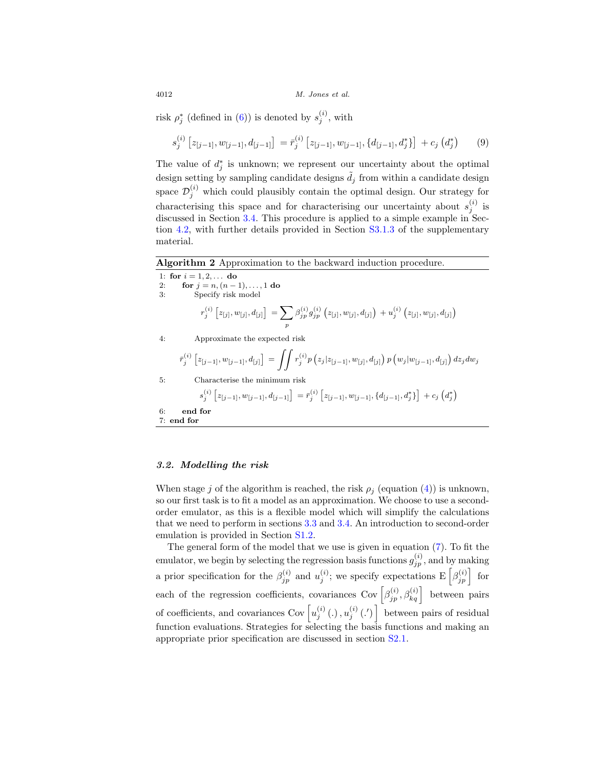risk  $\rho_j^*$  (defined in [\(6\)](#page-7-0)) is denoted by  $s_j^{(i)}$ , with

<span id="page-11-1"></span>
$$
s_j^{(i)} [z_{[j-1]}, w_{[j-1]}, d_{[j-1]}] = \bar{r}_j^{(i)} [z_{[j-1]}, w_{[j-1]}, \{d_{[j-1]}, d_j^*\}] + c_j (d_j^*)
$$
(9)

The value of  $d_j^*$  is unknown; we represent our uncertainty about the optimal design setting by sampling candidate designs  $\tilde{d}_j$  from within a candidate design space  $\mathcal{D}_j^{(i)}$  which could plausibly contain the optimal design. Our strategy for characterising this space and for characterising our uncertainty about  $s_j^{(i)}$  is discussed in Section [3.4.](#page-13-0) This procedure is applied to a simple example in Section [4.2,](#page-17-0) with further details provided in Section S3.1.3 of the supplementary material.

**Algorithm 2** Approximation to the backward induction procedure.

| 1: for $i = 1, 2, $ do<br>for $j = n, (n - 1), \ldots, 1$ do<br>2:                                                                                                                                     |  |  |
|--------------------------------------------------------------------------------------------------------------------------------------------------------------------------------------------------------|--|--|
| Specify risk model<br>3:                                                                                                                                                                               |  |  |
| $\left[ r_i^{(i)} \left[ z_{[j]}, w_{[j]}, d_{[j]} \right] \right] = \sum \beta_{jp}^{(i)} g_{jp}^{(i)} \left( z_{[j]}, w_{[j]}, d_{[j]} \right) + u_j^{(i)} \left( z_{[j]}, w_{[j]}, d_{[j]} \right)$ |  |  |
|                                                                                                                                                                                                        |  |  |
| Approximate the expected risk<br>4:                                                                                                                                                                    |  |  |
| $\bar{r}_j^{(i)}\left[z_{[j-1]}, w_{[j-1]}, d_{[j]}\right] \ = \ \int \int r_j^{(i)} p\left(z_j z_{[j-1]}, w_{[j]}, d_{[j]}\right) p\left(w_j w_{[j-1]}, d_{[j]}\right) dz_j dw_j$                     |  |  |
| Characterise the minimum risk<br>5:                                                                                                                                                                    |  |  |
| $s_i^{(i)}[z_{[i-1]}, w_{[i-1]}, d_{[i-1]}] = \bar{r}_i^{(i)}[z_{[i-1]}, w_{[i-1]}, \{d_{[i-1]}, d_i^*\}] + c_j(d_i^*)$                                                                                |  |  |
| end for<br>6:                                                                                                                                                                                          |  |  |
| $7:$ end for                                                                                                                                                                                           |  |  |

#### <span id="page-11-0"></span>*3.2. Modelling the risk*

When stage j of the algorithm is reached, the risk  $\rho_i$  (equation [\(4\)](#page-6-3)) is unknown, so our first task is to fit a model as an approximation. We choose to use a secondorder emulator, as this is a flexible model which will simplify the calculations that we need to perform in sections [3.3](#page-12-0) and [3.4.](#page-13-0) An introduction to second-order emulation is provided in Section S1.2.

The general form of the model that we use is given in equation [\(7\)](#page-10-1). To fit the emulator, we begin by selecting the regression basis functions  $g_{jp}^{(i)}$ , and by making a prior specification for the  $\beta_{jp}^{(i)}$  and  $u_j^{(i)}$ ; we specify expectations  $E\left[\beta_{jp}^{(i)}\right]$  for each of the regression coefficients, covariances Cov  $\left[\beta_{jp}^{(i)}, \beta_{kq}^{(i)}\right]$  between pairs of coefficients, and covariances Cov  $\left[u_j^{(i)}\left(\cdot\right), u_j^{(i)}\left(\cdot\right)\right]$  between pairs of residual function evaluations. Strategies for selecting the basis functions and making an appropriate prior specification are discussed in section [S2.1.](#page-4-1)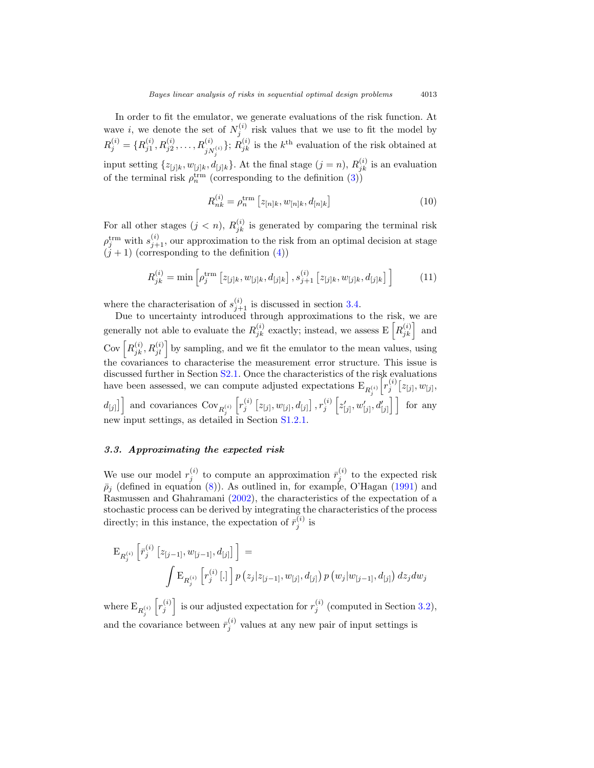In order to fit the emulator, we generate evaluations of the risk function. At wave *i*, we denote the set of  $N_j^{(i)}$  risk values that we use to fit the model by  $R_j^{(i)} = \{R_{j1}^{(i)}, R_{j2}^{(i)}, \ldots, R_{jN_j^{(i)}}^{(i)}\}; R_{jk}^{(i)}$  is the  $k^{\text{th}}$  evaluation of the risk obtained at input setting  $\{z_{[j]k}, w_{[j]k}, d_{[j]k}\}$ . At the final stage  $(j = n)$ ,  $R_{jk}^{(i)}$  is an evaluation of the terminal risk  $\rho_n^{\text{trm}}$  (corresponding to the definition [\(3\)](#page-6-4))

$$
R_{nk}^{(i)} = \rho_n^{\text{trm}} \left[ z_{[n]k}, w_{[n]k}, d_{[n]k} \right]
$$
 (10)

For all other stages  $(j < n)$ ,  $R_{jk}^{(i)}$  is generated by comparing the terminal risk  $\rho_j^{\text{trm}}$  with  $s_{j+1}^{(i)}$ , our approximation to the risk from an optimal decision at stage  $(j+1)$  (corresponding to the definition  $(4)$ )

$$
R_{jk}^{(i)} = \min\left[\rho_j^{\text{trm}}\left[z_{[j]k}, w_{[j]k}, d_{[j]k}\right], s_{j+1}^{(i)}\left[z_{[j]k}, w_{[j]k}, d_{[j]k}\right]\right]
$$
(11)

where the characterisation of  $s_{j+1}^{(i)}$  is discussed in section [3.4.](#page-13-0)

Due to uncertainty introduced through approximations to the risk, we are generally not able to evaluate the  $R_{jk}^{(i)}$  exactly; instead, we assess  $\mathbb{E}\left[R_{jk}^{(i)}\right]$  and Cov  $\left[R_{jk}^{(i)}, R_{jl}^{(i)}\right]$  by sampling, and we fit the emulator to the mean values, using the covariances to characterise the measurement error structure. This issue is discussed further in Section [S2.1.](#page-4-1) Once the characteristics of the risk evaluations have been assessed, we can compute adjusted expectations  $E_{R_i^{(i)}}\left[r_j^{(i)}[z_{[j]}, w_{[j]},\right]$ j  $d_{[j]}$ ] and covariances Cov<sub>R<sub>i</sub><sup>(i)</sup></sub>  $\left[r^{(i)}_j\left[z_{[j]}, w_{[j]}, d_{[j]}\right], r^{(i)}_j\left[z'_{[j]}, w'_{[j]}, d'_{[j]}\right]\right]$  for any new input settings, as detailed in Section S1.2.

#### <span id="page-12-0"></span>*3.3. Approximating the expected risk*

We use our model  $r_j^{(i)}$  to compute an approximation  $\bar{r}_j^{(i)}$  to the expected risk  $\bar{\rho}_j$  (defined in equation [\(8\)](#page-10-2)). As outlined in, for example, O'Hagan [\(1991\)](#page-29-10) and Rasmussen and Ghahramani [\(2002\)](#page-30-5), the characteristics of the expectation of a stochastic process can be derived by integrating the characteristics of the process directly; in this instance, the expectation of  $\bar{r}_j^{(i)}$  is

$$
\mathcal{E}_{R_j^{(i)}}\left[\bar{r}_j^{(i)}\left[z_{[j-1]}, w_{[j-1]}, d_{[j]}\right]\right] = \int \mathcal{E}_{R_j^{(i)}}\left[r_j^{(i)}\left[0, \cdots\right] \right] p\left(z_j|z_{[j-1]}, w_{[j]}, d_{[j]}\right) p\left(w_j|w_{[j-1]}, d_{[j]}\right) dz_j dw_j
$$

where  $\mathbf{E}_{R_j^{(i)}}$  $\left[r_j^{(i)}\right]$  is our adjusted expectation for  $r_j^{(i)}$  (computed in Section [3.2\)](#page-11-0), and the covariance between  $\bar{r}_j^{(i)}$  values at any new pair of input settings is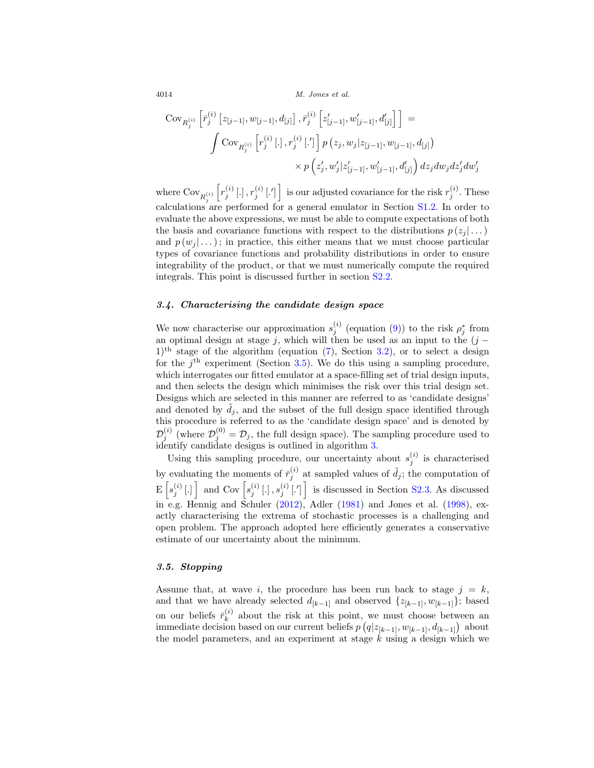$$
\begin{split} \text{Cov}_{R_j^{(i)}}\left[ \bar{r}_j^{(i)}\left[z_{[j-1]}, w_{[j-1]}, d_{[j]} \right], \bar{r}_j^{(i)}\left[z'_{[j-1]}, w'_{[j-1]}, d'_{[j]} \right] \right] = \\ \int \text{Cov}_{R_j^{(i)}}\left[ r_j^{(i)}\left[ . \right], r_j^{(i)}\left[ .' \right] \right] p\left( z_j, w_j | z_{[j-1]}, w_{[j-1]}, d_{[j]} \right) \\ \times p\left( z_j', w_j' | z'_{[j-1]}, w'_{[j-1]}, d'_{[j]} \right) dz_j dw_j dz_j' dw_j' \end{split}
$$

where  $\text{Cov}_{R_j^{(i)}}$  $\left[r_j^{(i)}\left[.\right], r_j^{(i)}\left[.\right]\right]$  is our adjusted covariance for the risk  $r_j^{(i)}$ . These calculations are performed for a general emulator in Section S1.2. In order to evaluate the above expressions, we must be able to compute expectations of both the basis and covariance functions with respect to the distributions  $p(z_i | \dots)$ and  $p(w_i | \dots)$ ; in practice, this either means that we must choose particular types of covariance functions and probability distributions in order to ensure integrability of the product, or that we must numerically compute the required integrals. This point is discussed further in section [S2.2.](#page-6-0)

#### <span id="page-13-0"></span>*3.4. Characterising the candidate design space*

We now characterise our approximation  $s_j^{(i)}$  (equation [\(9\)](#page-11-1)) to the risk  $\rho_j^*$  from an optimal design at stage j, which will then be used as an input to the  $(j 1$ <sup>th</sup> stage of the algorithm (equation  $(7)$ , Section [3.2\)](#page-11-0), or to select a design for the  $j<sup>th</sup>$  experiment (Section [3.5\)](#page-13-1). We do this using a sampling procedure, which interrogates our fitted emulator at a space-filling set of trial design inputs, and then selects the design which minimises the risk over this trial design set. Designs which are selected in this manner are referred to as 'candidate designs' and denoted by  $\tilde{d}_j$ , and the subset of the full design space identified through this procedure is referred to as the 'candidate design space' and is denoted by  $\mathcal{D}_j^{(i)}$  (where  $\mathcal{D}_j^{(0)} = \mathcal{D}_j$ , the full design space). The sampling procedure used to identify candidate designs is outlined in algorithm 3.

Using this sampling procedure, our uncertainty about  $s_j^{(i)}$  is characterised by evaluating the moments of  $\bar{r}_j^{(i)}$  at sampled values of  $\tilde{d}_j$ ; the computation of  $\mathbb{E}\left[s_j^{(i)}[.]\right]$  and Cov  $\left[s_j^{(i)}[.],s_j^{(i)}[.]\right]$  is discussed in Section S2.3. As discussed in e.g. Hennig and Schuler [\(2012](#page-29-11)), Adler [\(1981\)](#page-28-5) and Jones et al. [\(1998](#page-29-12)), exactly characterising the extrema of stochastic processes is a challenging and open problem. The approach adopted here efficiently generates a conservative estimate of our uncertainty about the minimum.

#### <span id="page-13-1"></span>*3.5. Stopping*

Assume that, at wave i, the procedure has been run back to stage  $j = k$ , and that we have already selected  $d_{[k-1]}$  and observed  $\{z_{[k-1]}, w_{[k-1]}\}$ ; based on our beliefs  $\bar{r}_k^{(i)}$  about the risk at this point, we must choose between an immediate decision based on our current beliefs  $p(q|z_{[k-1]}, w_{[k-1]}, d_{[k-1]})$  about the model parameters, and an experiment at stage  $k$  using a design which we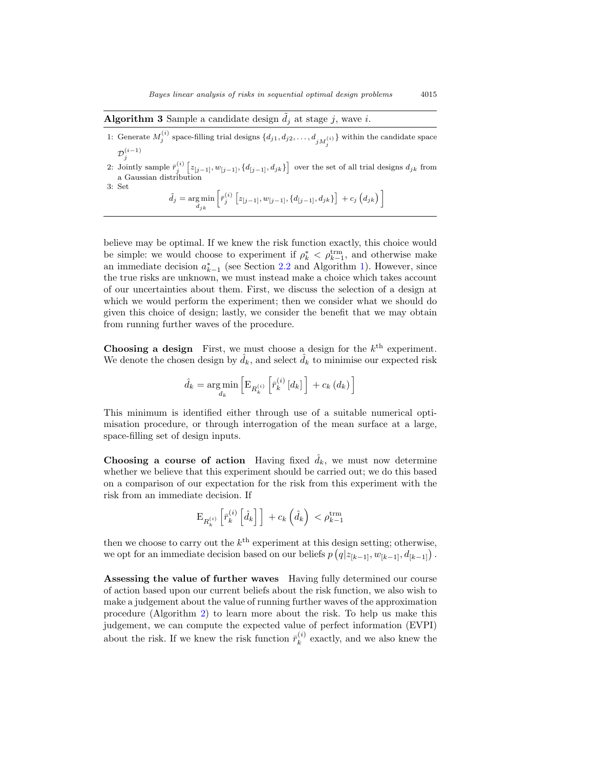**Algorithm 3** Sample a candidate design  $\tilde{d}_j$  at stage j, wave i.

- 1: Generate  $M_j^{(i)}$  space-filling trial designs  $\{d_{j1}, d_{j2}, \ldots, d_{jM_j^{(i)}}\}$  within the candidate space  $\mathcal{D}_j^{(i-1)}$
- 2: Jointly sample  $\bar{r}_j^{(i)}\left[z_{[j-1]}, w_{[j-1]}, \{d_{[j-1]}, d_{jk}\}\right]$  over the set of all trial designs  $d_{jk}$  from a Gaussian distribution 3: Set

$$
\tilde{d}_j = \underset{d_{jk}}{\arg\min} \left[ \bar{r}_j^{(i)} \left[ z_{[j-1]}, w_{[j-1]}, \{ d_{[j-1]}, d_{jk} \} \right] \right. + c_j \left( d_{jk} \right) \right]
$$

believe may be optimal. If we knew the risk function exactly, this choice would be simple: we would choose to experiment if  $\rho_k^* \leq \rho_{k-1}^{\text{trm}}$ , and otherwise make an immediate decision  $a_{k-1}^*$  (see Section [2.2](#page-6-0) and Algorithm 1). However, since the true risks are unknown, we must instead make a choice which takes account of our uncertainties about them. First, we discuss the selection of a design at which we would perform the experiment; then we consider what we should do given this choice of design; lastly, we consider the benefit that we may obtain from running further waves of the procedure.

**Choosing a design** First, we must choose a design for the  $k<sup>th</sup>$  experiment. We denote the chosen design by  $\hat{d}_k$ , and select  $\hat{d}_k$  to minimise our expected risk

$$
\hat{d}_{k} = \underset{d_{k}}{\arg\min} \left[ \mathrm{E}_{R_{k}^{\left(i\right)}}\left[\bar{r}_{k}^{\left(i\right)}\left[d_{k}\right]\right]+c_{k}\left(d_{k}\right)\right]
$$

This minimum is identified either through use of a suitable numerical optimisation procedure, or through interrogation of the mean surface at a large, space-filling set of design inputs.

**Choosing a course of action** Having fixed  $\hat{d}_k$ , we must now determine whether we believe that this experiment should be carried out; we do this based on a comparison of our expectation for the risk from this experiment with the risk from an immediate decision. If

$$
\mathrm{E}_{R_k^{\left(i\right)}}\left[\bar{r}_k^{\left(i\right)}\left[\hat{d}_k\right]\right]\,+\,c_k\left(\hat{d}_k\right)\,<\rho_{k-1}^{\mathrm{trm}}
$$

then we choose to carry out the  $k^{\text{th}}$  experiment at this design setting; otherwise, we opt for an immediate decision based on our beliefs  $p(q|z_{[k-1]}, w_{[k-1]}, d_{[k-1]})$ .

**Assessing the value of further waves** Having fully determined our course of action based upon our current beliefs about the risk function, we also wish to make a judgement about the value of running further waves of the approximation procedure (Algorithm 2) to learn more about the risk. To help us make this judgement, we can compute the expected value of perfect information (EVPI) about the risk. If we knew the risk function  $\bar{r}_k^{(i)}$  exactly, and we also knew the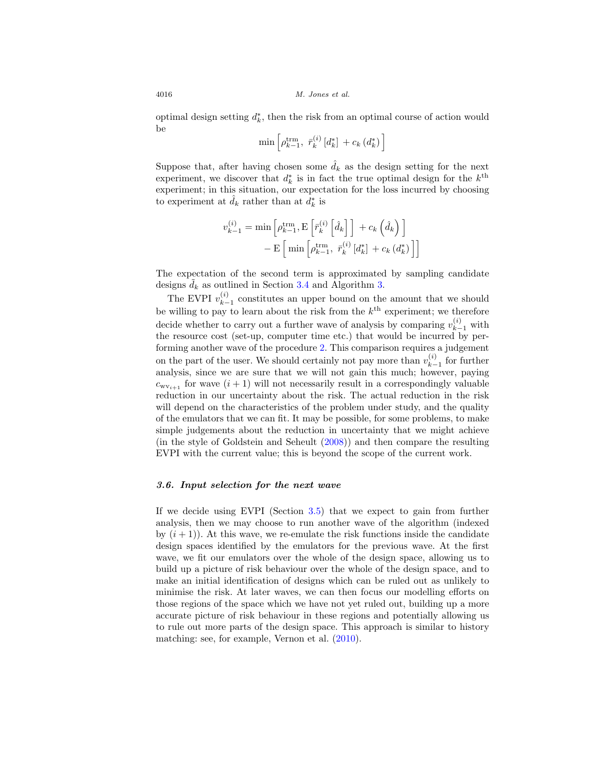optimal design setting  $d_k^*$ , then the risk from an optimal course of action would be

$$
\min\left[\rho_{k-1}^{\text{trm}}, \ \bar{r}_{k}^{(i)}\left[d_{k}^{*}\right]+c_{k}\left(d_{k}^{*}\right)\right]
$$

Suppose that, after having chosen some  $\hat{d}_k$  as the design setting for the next experiment, we discover that  $d_k^*$  is in fact the true optimal design for the  $k^{\text{th}}$ experiment; in this situation, our expectation for the loss incurred by choosing to experiment at  $\hat{d}_k$  rather than at  $\hat{d}_k^*$  is

$$
v_{k-1}^{(i)} = \min \left[ \rho_{k-1}^{\text{trm}}, \text{E} \left[ \bar{r}_k^{(i)} \left[ \hat{d}_k \right] \right] + c_k \left( \hat{d}_k \right) \right] - \text{E} \left[ \min \left[ \rho_{k-1}^{\text{trm}}, \ \bar{r}_k^{(i)} \left[ d_k^* \right] + c_k \left( d_k^* \right) \right] \right]
$$

The expectation of the second term is approximated by sampling candidate designs  $\tilde{d}_k$  as outlined in Section [3.4](#page-13-0) and Algorithm 3.

The EVPI  $v_{k-1}^{(i)}$  constitutes an upper bound on the amount that we should be willing to pay to learn about the risk from the  $k^{\text{th}}$  experiment; we therefore decide whether to carry out a further wave of analysis by comparing  $v_{k-1}^{(i)}$  with the resource cost (set-up, computer time etc.) that would be incurred by performing another wave of the procedure 2. This comparison requires a judgement on the part of the user. We should certainly not pay more than  $v_{k-1}^{(i)}$  for further analysis, since we are sure that we will not gain this much; however, paying  $c_{wv_{i+1}}$  for wave  $(i + 1)$  will not necessarily result in a correspondingly valuable reduction in our uncertainty about the risk. The actual reduction in the risk will depend on the characteristics of the problem under study, and the quality of the emulators that we can fit. It may be possible, for some problems, to make simple judgements about the reduction in uncertainty that we might achieve (in the style of Goldstein and Seheult [\(2008](#page-29-13))) and then compare the resulting EVPI with the current value; this is beyond the scope of the current work.

#### <span id="page-15-0"></span>*3.6. Input selection for the next wave*

If we decide using EVPI (Section [3.5\)](#page-13-1) that we expect to gain from further analysis, then we may choose to run another wave of the algorithm (indexed by  $(i + 1)$ . At this wave, we re-emulate the risk functions inside the candidate design spaces identified by the emulators for the previous wave. At the first wave, we fit our emulators over the whole of the design space, allowing us to build up a picture of risk behaviour over the whole of the design space, and to make an initial identification of designs which can be ruled out as unlikely to minimise the risk. At later waves, we can then focus our modelling efforts on those regions of the space which we have not yet ruled out, building up a more accurate picture of risk behaviour in these regions and potentially allowing us to rule out more parts of the design space. This approach is similar to history matching: see, for example, Vernon et al. [\(2010](#page-30-4)).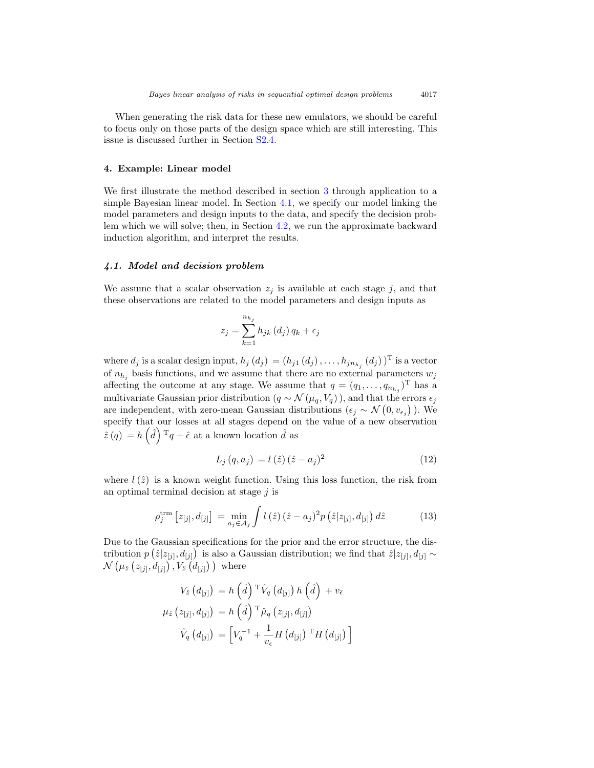When generating the risk data for these new emulators, we should be careful to focus only on those parts of the design space which are still interesting. This issue is discussed further in Section S2.4.

#### <span id="page-16-0"></span>**4. Example: Linear model**

We first illustrate the method described in section [3](#page-9-0) through application to a simple Bayesian linear model. In Section [4.1,](#page-16-1) we specify our model linking the model parameters and design inputs to the data, and specify the decision problem which we will solve; then, in Section [4.2,](#page-17-0) we run the approximate backward induction algorithm, and interpret the results.

#### <span id="page-16-1"></span>*4.1. Model and decision problem*

We assume that a scalar observation  $z_i$  is available at each stage j, and that these observations are related to the model parameters and design inputs as

$$
z_j = \sum_{k=1}^{n_{h_j}} h_{jk} (d_j) q_k + \epsilon_j
$$

where  $d_j$  is a scalar design input,  $h_j(d_j) = (h_{j1} (d_j), \ldots, h_{jn_{h_j}} (d_j) )^T$  is a vector of  $n_{h_i}$  basis functions, and we assume that there are no external parameters  $w_j$ affecting the outcome at any stage. We assume that  $q = (q_1, \ldots, q_{n_{h_i}})^T$  has a multivariate Gaussian prior distribution ( $q \sim \mathcal{N}(\mu_q, V_q)$ ), and that the errors  $\epsilon_j$ are independent, with zero-mean Gaussian distributions  $(\epsilon_j \sim \mathcal{N}(0, v_{\epsilon_j}))$ . We specify that our losses at all stages depend on the value of a new observation  $\hat{z}(q) = h\left(\hat{d}\right)^{\mathrm{T}}q + \hat{\epsilon}$  at a known location  $\hat{d}$  as

<span id="page-16-3"></span>
$$
L_j(q, a_j) = l(\hat{z}) (\hat{z} - a_j)^2
$$
\n(12)

where  $l(\hat{z})$  is a known weight function. Using this loss function, the risk from an optimal terminal decision at stage  $i$  is

<span id="page-16-2"></span>
$$
\rho_j^{\text{trm}} \left[ z_{[j]}, d_{[j]} \right] = \min_{a_j \in \mathcal{A}_j} \int l \left( \hat{z} \right) (\hat{z} - a_j)^2 p \left( \hat{z} | z_{[j]}, d_{[j]} \right) d\hat{z} \tag{13}
$$

Due to the Gaussian specifications for the prior and the error structure, the distribution  $p(\hat{z}|z_{[j]}, d_{[j]})$  is also a Gaussian distribution; we find that  $\hat{z}|z_{[j]}, d_{[j]} \sim$  $\mathcal{N}\left( \mu_{\hat{z}}\left(z_{[j]},d_{[j]}\right), V_{\hat{z}}\left(d_{[j]}\right) \right) \text{ where }$ 

$$
V_{\hat{z}}(d_{[j]}) = h\left(\hat{d}\right)^{\mathrm{T}} \hat{V}_{q}(d_{[j]}) h\left(\hat{d}\right) + v_{\hat{\epsilon}}
$$
  

$$
\mu_{\hat{z}}(z_{[j]}, d_{[j]}) = h\left(\hat{d}\right)^{\mathrm{T}} \hat{\mu}_{q}(z_{[j]}, d_{[j]})
$$
  

$$
\hat{V}_{q}(d_{[j]}) = \left[V_{q}^{-1} + \frac{1}{v_{\epsilon}} H\left(d_{[j]}\right)^{\mathrm{T}} H\left(d_{[j]}\right)\right]
$$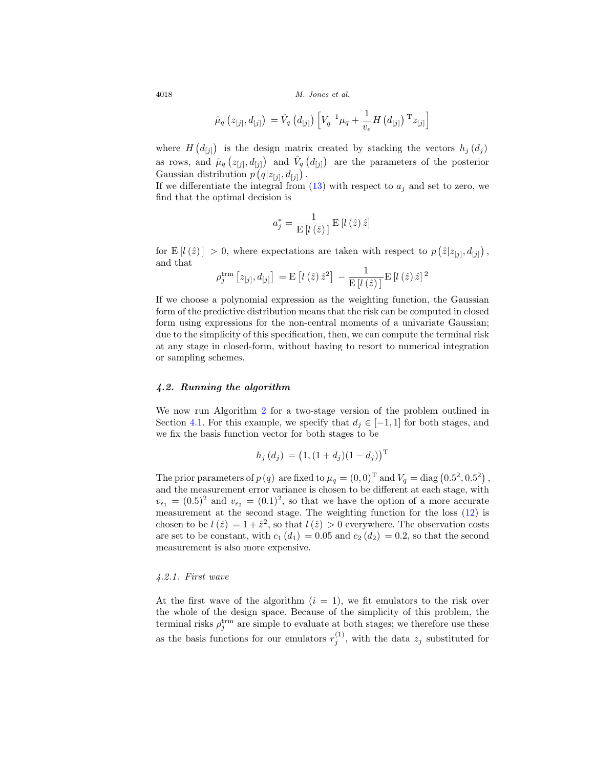$$
\hat{\mu}_{q}\left(z_{[j]}, d_{[j]}\right) = \hat{V}_{q}\left(d_{[j]}\right)\left[V_{q}^{-1}\mu_{q} + \frac{1}{v_{\epsilon}}H\left(d_{[j]}\right)^{\mathrm{T}}z_{[j]}\right]
$$

where  $H(d_{[j]})$  is the design matrix created by stacking the vectors  $h_j(d_j)$ as rows, and  $\hat{\mu}_q(z_{[j]}, d_{[j]})$  and  $\hat{V}_q(z_{[j]})$  are the parameters of the posterior Gaussian distribution  $p(q|z_{[j]}, d_{[j]})$ .

If we differentiate the integral from  $(13)$  with respect to  $a_j$  and set to zero, we find that the optimal decision is

$$
a_{j}^{*}=\frac{1}{\mathrm{E}\left[l\left(\hat{z}\right)\right]}\mathrm{E}\left[l\left(\hat{z}\right)\hat{z}\right]
$$

for E[ $l(\hat{z})$ ] > 0, where expectations are taken with respect to  $p(\hat{z}|z_{[j]}, d_{[j]})$ , and that

$$
\rho_j^{\text{trm}} [z_{[j]}, d_{[j]}] = \mathrm{E} [l(\hat{z}) \hat{z}^2] - \frac{1}{\mathrm{E} [l(\hat{z})]} \mathrm{E} [l(\hat{z}) \hat{z}]^2
$$

If we choose a polynomial expression as the weighting function, the Gaussian form of the predictive distribution means that the risk can be computed in closed form using expressions for the non-central moments of a univariate Gaussian; due to the simplicity of this specification, then, we can compute the terminal risk at any stage in closed-form, without having to resort to numerical integration or sampling schemes.

#### <span id="page-17-0"></span>*4.2. Running the algorithm*

We now run Algorithm 2 for a two-stage version of the problem outlined in Section [4.1.](#page-16-1) For this example, we specify that  $d_i \in [-1,1]$  for both stages, and we fix the basis function vector for both stages to be

$$
h_j(d_j) = (1, (1+d_j)(1-d_j))^{\mathrm{T}}
$$

The prior parameters of  $p(q)$  are fixed to  $\mu_q = (0,0)^T$  and  $V_q = \text{diag}(0.5^2, 0.5^2)$ , and the measurement error variance is chosen to be different at each stage, with  $v_{\epsilon_1} = (0.5)^2$  and  $v_{\epsilon_2} = (0.1)^2$ , so that we have the option of a more accurate measurement at the second stage. The weighting function for the loss [\(12\)](#page-16-3) is chosen to be  $l(\hat{z}) = 1 + \hat{z}^2$ , so that  $l(\hat{z}) > 0$  everywhere. The observation costs are set to be constant, with  $c_1$  (d<sub>1</sub>) = 0.05 and  $c_2$  (d<sub>2</sub>) = 0.2, so that the second measurement is also more expensive.

#### <span id="page-17-1"></span>4.2.1. First wave

At the first wave of the algorithm  $(i = 1)$ , we fit emulators to the risk over the whole of the design space. Because of the simplicity of this problem, the terminal risks  $\rho_j^{\text{trm}}$  are simple to evaluate at both stages; we therefore use these as the basis functions for our emulators  $r_j^{(1)}$ , with the data  $z_j$  substituted for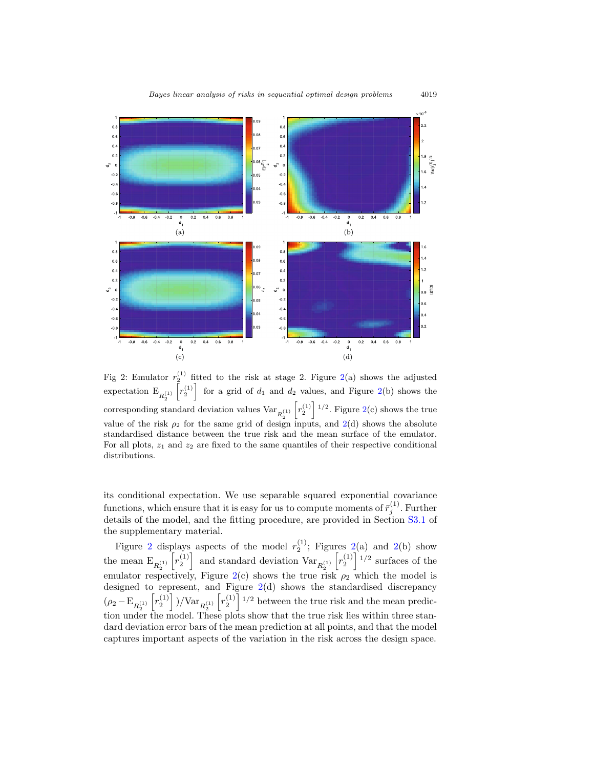<span id="page-18-0"></span>

Fig 2: Emulator  $r_2^{(1)}$  fitted to the risk at stage 2. Figure [2\(](#page-18-0)a) shows the adjusted expectation  $\mathcal{E}_{R_2^{(1)}}$  $\lceil r_2^{(1)} \rceil$  for a grid of  $d_1$  and  $d_2$  values, and Figure [2\(](#page-18-0)b) shows the corresponding standard deviation values  $\text{Var}_{R^{(1)}_2}$  $\left[r_2^{(1)}\right]$ <sup>1/2</sup>. Figure [2\(](#page-18-0)c) shows the true value of the risk  $\rho_2$  for the same grid of design inputs, and  $2(d)$  $2(d)$  shows the absolute standardised distance between the true risk and the mean surface of the emulator. For all plots,  $z_1$  and  $z_2$  are fixed to the same quantiles of their respective conditional distributions.

its conditional expectation. We use separable squared exponential covariance functions, which ensure that it is easy for us to compute moments of  $\bar{r}_j^{(1)}$ . Further details of the model, and the fitting procedure, are provided in Section [S3.1](#page-10-0) of the supplementary material.

Figure [2](#page-18-0) displays aspects of the model  $r_2^{(1)}$ ; Figures [2\(](#page-18-0)a) and 2(b) show the mean  $\mathcal{E}_{R_2^{(1)}}$  $\left[r_2^{(1)}\right]$  and standard deviation  $\text{Var}_{R_2^{(1)}}$  $\left[r_2^{(1)}\right]$ <sup>1/2</sup> surfaces of the emulator respectively, Figure [2\(](#page-18-0)c) shows the true risk  $\rho_2$  which the model is designed to represent, and Figure [2\(](#page-18-0)d) shows the standardised discrepancy  $(\rho_2 - \mathbf{E}_{R_2^{(1)}})$  $\left[ r_2^{(1)} \right]$  )/Var $_{R_2^{(1)}}$  $\left[r_2^{(1)}\right]$ <sup>1/2</sup> between the true risk and the mean prediction under the model. These plots show that the true risk lies within three standard deviation error bars of the mean prediction at all points, and that the model captures important aspects of the variation in the risk across the design space.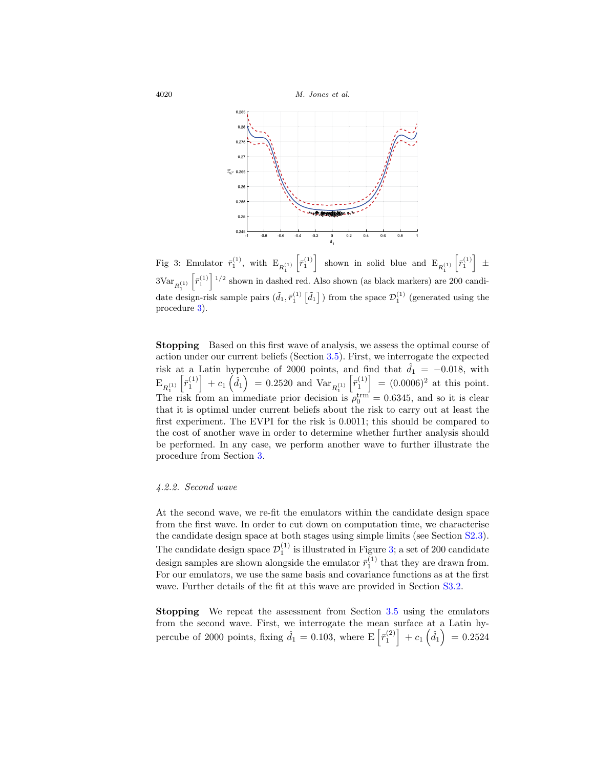<span id="page-19-1"></span>

Fig 3: Emulator  $\bar{r}_1^{(1)}$ , with  $E_{R_1^{(1)}}$  $\left[\bar{r}_1^{(1)}\right]$  shown in solid blue and  $E_{R_1^{(1)}}$  $\left[\bar{r}_1^{(1)}\right]$   $\pm$  $3Var_{R_1^{(1)}}$  $\left[\bar{r}_1^{(1)}\right]$ <sup>1/2</sup> shown in dashed red. Also shown (as black markers) are 200 candidate design-risk sample pairs  $(\tilde{d}_1, \bar{r}_1^{(1)} \left[ \tilde{d}_1 \right]$  ) from the space  $\mathcal{D}_1^{(1)}$  (generated using the procedure 3).

**Stopping** Based on this first wave of analysis, we assess the optimal course of action under our current beliefs (Section [3.5\)](#page-13-1). First, we interrogate the expected risk at a Latin hypercube of 2000 points, and find that  $\hat{d}_1 = -0.018$ , with  $\mathrm{E}_{R_{1}^{(1)}}$  $\left[\bar{r}_1^{(1)}\right] + c_1\left(\hat{d}_1\right) = 0.2520$  and  $\text{Var}_{R_1^{(1)}}$  $\left[\bar{r}_1^{(1)}\right] = (0.0006)^2$  at this point. The risk from an immediate prior decision is  $\rho_0^{\text{trm}} = 0.6345$ , and so it is clear that it is optimal under current beliefs about the risk to carry out at least the first experiment. The EVPI for the risk is 0.0011; this should be compared to the cost of another wave in order to determine whether further analysis should be performed. In any case, we perform another wave to further illustrate the procedure from Section [3.](#page-9-0)

#### <span id="page-19-0"></span>4.2.2. Second wave

At the second wave, we re-fit the emulators within the candidate design space from the first wave. In order to cut down on computation time, we characterise the candidate design space at both stages using simple limits (see Section S2.3). The candidate design space  $\mathcal{D}_1^{(1)}$  is illustrated in Figure [3;](#page-19-1) a set of 200 candidate design samples are shown alongside the emulator  $\bar{r}_1^{(1)}$  that they are drawn from. For our emulators, we use the same basis and covariance functions as at the first wave. Further details of the fit at this wave are provided in Section [S3.2.](#page-11-0)

**Stopping** We repeat the assessment from Section [3.5](#page-13-1) using the emulators from the second wave. First, we interrogate the mean surface at a Latin hypercube of 2000 points, fixing  $\hat{d}_1 = 0.103$ , where  $E\left[\bar{r}_1^{(2)}\right] + c_1\left(\hat{d}_1\right) = 0.2524$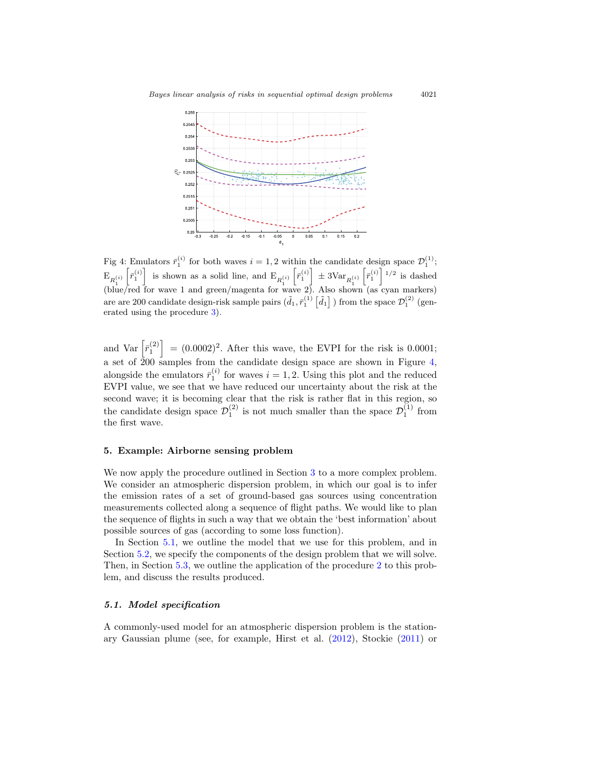<span id="page-20-2"></span>

Fig 4: Emulators  $\bar{r}_1^{(i)}$  for both waves  $i = 1, 2$  within the candidate design space  $\mathcal{D}_1^{(1)}$ ;  $E_{R_1^{(i)}}$  $\left[ \bar{r}_1^{(i)} \right]$  is shown as a solid line, and  $\mathrm{E}_{R_1^{(i)}}$  $\left[\bar{r}_1^{(i)}\right] \pm 3 \text{Var}_{R_1^{(i)}}$  $\left[\bar{r}_1^{(i)}\right]$ <sup>1/2</sup> is dashed (blue/red for wave 1 and green/magenta for wave 2). Also shown (as cyan markers) are are 200 candidate design-risk sample pairs  $(\tilde{d}_1, \tilde{r}_1^{(1)} \left[ \tilde{d}_1 \right] )$  from the space  $\mathcal{D}_1^{(2)}$  (generated using the procedure 3).

and Var  $\left[\bar{r}_1^{(2)}\right] = (0.0002)^2$ . After this wave, the EVPI for the risk is 0.0001; a set of  $\frac{1}{2}00$  samples from the candidate design space are shown in Figure [4,](#page-20-2) alongside the emulators  $\bar{r}_1^{(i)}$  for waves  $i = 1, 2$ . Using this plot and the reduced EVPI value, we see that we have reduced our uncertainty about the risk at the second wave; it is becoming clear that the risk is rather flat in this region, so the candidate design space  $\mathcal{D}_1^{(2)}$  is not much smaller than the space  $\mathcal{D}_1^{(1)}$  from the first wave.

#### <span id="page-20-0"></span>**5. Example: Airborne sensing problem**

We now apply the procedure outlined in Section [3](#page-9-0) to a more complex problem. We consider an atmospheric dispersion problem, in which our goal is to infer the emission rates of a set of ground-based gas sources using concentration measurements collected along a sequence of flight paths. We would like to plan the sequence of flights in such a way that we obtain the 'best information' about possible sources of gas (according to some loss function).

In Section [5.1,](#page-20-1) we outline the model that we use for this problem, and in Section [5.2,](#page-21-0) we specify the components of the design problem that we will solve. Then, in Section [5.3,](#page-23-0) we outline the application of the procedure 2 to this problem, and discuss the results produced.

#### <span id="page-20-1"></span>*5.1. Model specification*

A commonly-used model for an atmospheric dispersion problem is the stationary Gaussian plume (see, for example, Hirst et al. [\(2012](#page-29-14)), Stockie [\(2011](#page-30-6)) or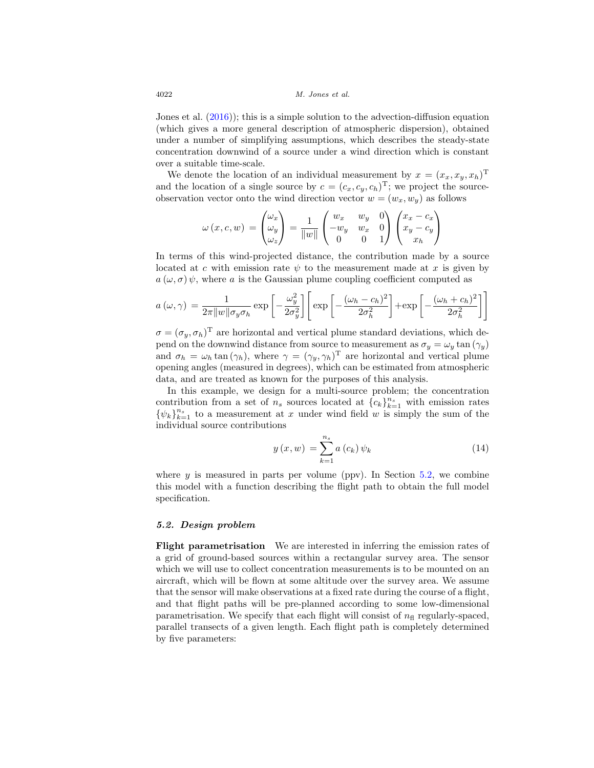Jones et al. [\(2016](#page-29-6))); this is a simple solution to the advection-diffusion equation (which gives a more general description of atmospheric dispersion), obtained under a number of simplifying assumptions, which describes the steady-state concentration downwind of a source under a wind direction which is constant over a suitable time-scale.

We denote the location of an individual measurement by  $x = (x_x, x_y, x_h)^T$ and the location of a single source by  $c = (c_x, c_y, c_h)^T$ ; we project the sourceobservation vector onto the wind direction vector  $w = (w_x, w_y)$  as follows

$$
\omega(x, c, w) = \begin{pmatrix} \omega_x \\ \omega_y \\ \omega_z \end{pmatrix} = \frac{1}{\|w\|} \begin{pmatrix} w_x & w_y & 0 \\ -w_y & w_x & 0 \\ 0 & 0 & 1 \end{pmatrix} \begin{pmatrix} x_x - c_x \\ x_y - c_y \\ x_h \end{pmatrix}
$$

In terms of this wind-projected distance, the contribution made by a source located at c with emission rate  $\psi$  to the measurement made at x is given by  $a(\omega, \sigma)$   $\psi$ , where a is the Gaussian plume coupling coefficient computed as

$$
a(\omega, \gamma) = \frac{1}{2\pi ||w|| \sigma_y \sigma_h} \exp\left[-\frac{\omega_y^2}{2\sigma_y^2}\right] \left[\exp\left[-\frac{(\omega_h - c_h)^2}{2\sigma_h^2}\right] + \exp\left[-\frac{(\omega_h + c_h)^2}{2\sigma_h^2}\right]\right]
$$

 $\sigma = (\sigma_y, \sigma_h)^T$  are horizontal and vertical plume standard deviations, which depend on the downwind distance from source to measurement as  $\sigma_y = \omega_y \tan(\gamma_y)$ and  $\sigma_h = \omega_h \tan(\gamma_h)$ , where  $\gamma = (\gamma_y, \gamma_h)^T$  are horizontal and vertical plume opening angles (measured in degrees), which can be estimated from atmospheric data, and are treated as known for the purposes of this analysis.

In this example, we design for a multi-source problem; the concentration contribution from a set of  $n_s$  sources located at  ${c_k}_{k=1}^{n_s}$  with emission rates  $\{\psi_k\}_{k=1}^{n_s}$  to a measurement at x under wind field w is simply the sum of the individual source contributions

<span id="page-21-1"></span>
$$
y(x, w) = \sum_{k=1}^{n_s} a(c_k) \psi_k
$$
\n(14)

where  $y$  is measured in parts per volume (ppv). In Section [5.2,](#page-21-0) we combine this model with a function describing the flight path to obtain the full model specification.

#### <span id="page-21-0"></span>*5.2. Design problem*

**Flight parametrisation** We are interested in inferring the emission rates of a grid of ground-based sources within a rectangular survey area. The sensor which we will use to collect concentration measurements is to be mounted on an aircraft, which will be flown at some altitude over the survey area. We assume that the sensor will make observations at a fixed rate during the course of a flight, and that flight paths will be pre-planned according to some low-dimensional parametrisation. We specify that each flight will consist of  $n<sub>f</sub>$  regularly-spaced, parallel transects of a given length. Each flight path is completely determined by five parameters: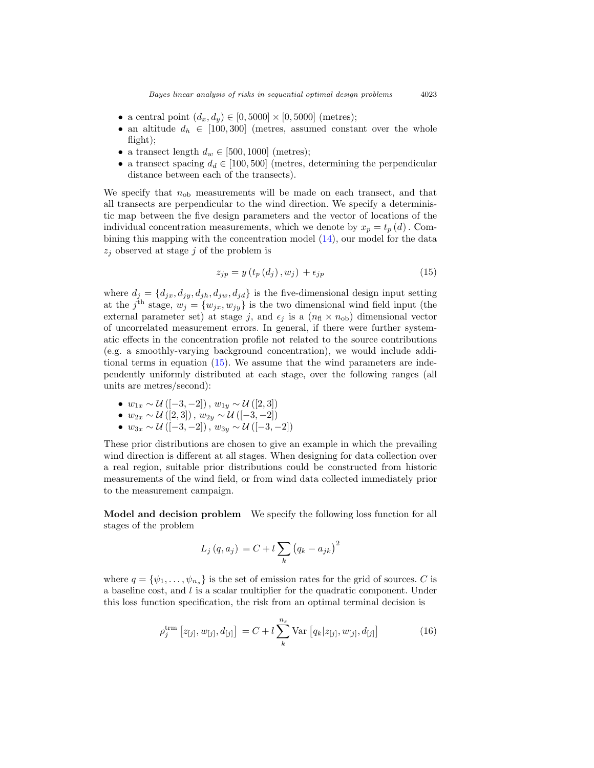- a central point  $(d_x, d_y) \in [0, 5000] \times [0, 5000]$  (metres);
- an altitude  $d_h \in [100, 300]$  (metres, assumed constant over the whole flight);
- a transect length  $d_w \in [500, 1000]$  (metres);
- a transect spacing  $d_d \in [100, 500]$  (metres, determining the perpendicular distance between each of the transects).

We specify that  $n_{\text{ob}}$  measurements will be made on each transect, and that all transects are perpendicular to the wind direction. We specify a deterministic map between the five design parameters and the vector of locations of the individual concentration measurements, which we denote by  $x_p = t_p(d)$ . Combining this mapping with the concentration model [\(14\)](#page-21-1), our model for the data  $z_j$  observed at stage j of the problem is

<span id="page-22-0"></span>
$$
z_{jp} = y(t_p(d_j), w_j) + \epsilon_{jp}
$$
\n<sup>(15)</sup>

where  $d_i = \{d_{ix}, d_{iy}, d_{ih}, d_{iw}, d_{id}\}\$  is the five-dimensional design input setting at the j<sup>th</sup> stage,  $w_j = \{w_{jx}, w_{jy}\}\$ is the two dimensional wind field input (the external parameter set) at stage j, and  $\epsilon_i$  is a  $(n_f \times n_{ob})$  dimensional vector of uncorrelated measurement errors. In general, if there were further systematic effects in the concentration profile not related to the source contributions (e.g. a smoothly-varying background concentration), we would include additional terms in equation [\(15\)](#page-22-0). We assume that the wind parameters are independently uniformly distributed at each stage, over the following ranges (all units are metres/second):

- $w_{1x} \sim \mathcal{U}([-3,-2])$ ,  $w_{1y} \sim \mathcal{U}([2,3])$
- $w_{2x} \sim \mathcal{U}([2,3])$ ,  $w_{2y} \sim \mathcal{U}([-3,-2])$
- $w_{3x} \sim \mathcal{U}([-3,-2])$ ,  $w_{3y} \sim \mathcal{U}([-3,-2])$

These prior distributions are chosen to give an example in which the prevailing wind direction is different at all stages. When designing for data collection over a real region, suitable prior distributions could be constructed from historic measurements of the wind field, or from wind data collected immediately prior to the measurement campaign.

**Model and decision problem** We specify the following loss function for all stages of the problem

$$
L_j(q, a_j) = C + l \sum_k (q_k - a_{jk})^2
$$

where  $q = {\psi_1, \ldots, \psi_{n_s}}$  is the set of emission rates for the grid of sources. C is a baseline cost, and l is a scalar multiplier for the quadratic component. Under this loss function specification, the risk from an optimal terminal decision is

<span id="page-22-1"></span>
$$
\rho_j^{\text{trm}} \left[ z_{[j]}, w_{[j]}, d_{[j]} \right] = C + l \sum_{k}^{n_s} \text{Var} \left[ q_k | z_{[j]}, w_{[j]}, d_{[j]} \right] \tag{16}
$$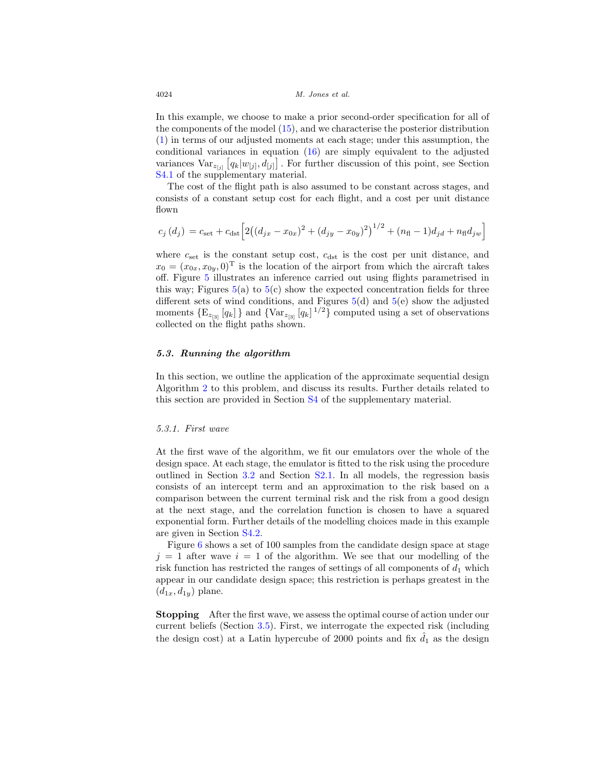In this example, we choose to make a prior second-order specification for all of the components of the model [\(15\)](#page-22-0), and we characterise the posterior distribution [\(1\)](#page-5-1) in terms of our adjusted moments at each stage; under this assumption, the conditional variances in equation [\(16\)](#page-22-1) are simply equivalent to the adjusted variances  $\text{Var}_{z_{[j]}}[q_k|w_{[j]}, d_{[j]}]$ . For further discussion of this point, see Section [S4.1](#page-16-1) of the supplementary material.

The cost of the flight path is also assumed to be constant across stages, and consists of a constant setup cost for each flight, and a cost per unit distance flown

$$
c_j(d_j) = c_{\text{set}} + c_{\text{dst}} \left[ 2\left( (d_{jx} - x_{0x})^2 + (d_{jy} - x_{0y})^2 \right)^{1/2} + (n_{\text{fl}} - 1)d_{jd} + n_{\text{fl}}d_{jw} \right]
$$

where  $c_{\text{set}}$  is the constant setup cost,  $c_{\text{dst}}$  is the cost per unit distance, and  $x_0 = (x_{0x}, x_{0y}, 0)^T$  is the location of the airport from which the aircraft takes off. Figure [5](#page-24-0) illustrates an inference carried out using flights parametrised in this way; Figures  $5(a)$  $5(a)$  to  $5(c)$  show the expected concentration fields for three different sets of wind conditions, and Figures  $5(d)$  $5(d)$  and  $5(e)$  show the adjusted moments  $\{E_{z_{[3]}}[q_k]\}\$  and  $\{\text{Var}_{z_{[3]}}[q_k] \, \}^{1/2}\}$  computed using a set of observations collected on the flight paths shown.

#### <span id="page-23-0"></span>*5.3. Running the algorithm*

In this section, we outline the application of the approximate sequential design Algorithm 2 to this problem, and discuss its results. Further details related to this section are provided in Section [S4](#page-16-0) of the supplementary material.

#### <span id="page-23-1"></span>5.3.1. First wave

At the first wave of the algorithm, we fit our emulators over the whole of the design space. At each stage, the emulator is fitted to the risk using the procedure outlined in Section [3.2](#page-11-0) and Section [S2.1.](#page-4-1) In all models, the regression basis consists of an intercept term and an approximation to the risk based on a comparison between the current terminal risk and the risk from a good design at the next stage, and the correlation function is chosen to have a squared exponential form. Further details of the modelling choices made in this example are given in Section [S4.2.](#page-17-0)

Figure [6](#page-25-1) shows a set of 100 samples from the candidate design space at stage  $j = 1$  after wave  $i = 1$  of the algorithm. We see that our modelling of the risk function has restricted the ranges of settings of all components of  $d_1$  which appear in our candidate design space; this restriction is perhaps greatest in the  $(d_{1x}, d_{1y})$  plane.

**Stopping** After the first wave, we assess the optimal course of action under our current beliefs (Section [3.5\)](#page-13-1). First, we interrogate the expected risk (including the design cost) at a Latin hypercube of 2000 points and fix  $\hat{d}_1$  as the design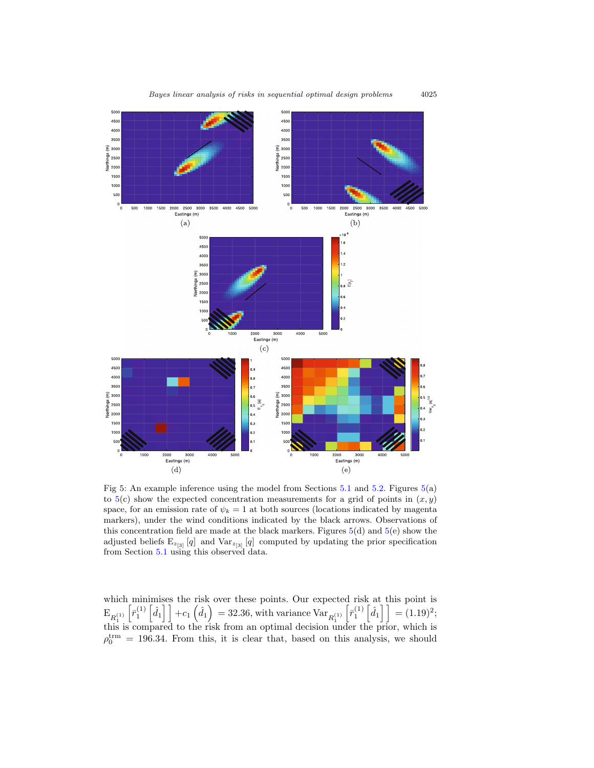<span id="page-24-0"></span>

Fig 5: An example inference using the model from Sections  $5.1$  and  $5.2$ . Figures  $5(a)$  $5(a)$ to  $5(c)$  $5(c)$  show the expected concentration measurements for a grid of points in  $(x, y)$ space, for an emission rate of  $\psi_k = 1$  at both sources (locations indicated by magenta markers), under the wind conditions indicated by the black arrows. Observations of this concentration field are made at the black markers. Figures  $5(d)$  $5(d)$  and  $5(e)$  show the adjusted beliefs  $E_{z_{[3]}}[q]$  and  $Var_{z_{[3]}}[q]$  computed by updating the prior specification from Section [5.1](#page-20-1) using this observed data.

which minimises the risk over these points. Our expected risk at this point is  $\mathrm{E}_{R_1^{(1)}}$  $\left[\bar{r}_1^{(1)}\left[\hat{d}_1\right]\right] + c_1\left(\hat{d}_1\right) = 32.36$ , with variance  $\text{Var}_{R_1^{(1)}}$  $\left[\bar{r}_1^{(1)}\left[\hat{d}_1\right]\right] = (1.19)^2;$ this is compared to the risk from an optimal decision under the prior, which is  $\rho_0^{\text{trm}} = 196.34$ . From this, it is clear that, based on this analysis, we should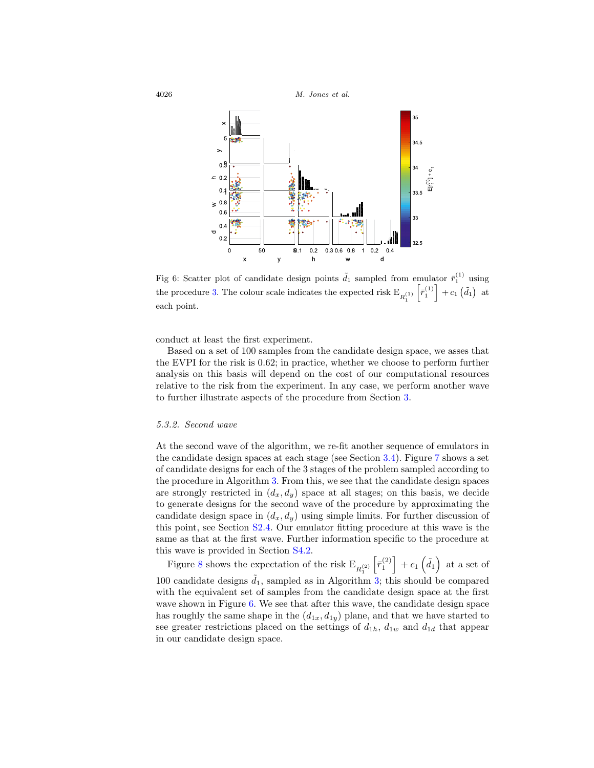

Fig 6: Scatter plot of candidate design points  $\tilde{d}_1$  sampled from emulator  $\bar{r}_1^{(1)}$  using the procedure 3. The colour scale indicates the expected risk  $E_{R_1^{(1)}}\left[\bar{r}_1^{(1)}\right] + c_1 \left(\tilde{d}_1\right)$  at 1 each point.

conduct at least the first experiment.

Based on a set of 100 samples from the candidate design space, we asses that the EVPI for the risk is 0.62; in practice, whether we choose to perform further analysis on this basis will depend on the cost of our computational resources relative to the risk from the experiment. In any case, we perform another wave to further illustrate aspects of the procedure from Section [3.](#page-9-0)

#### <span id="page-25-0"></span>5.3.2. Second wave

At the second wave of the algorithm, we re-fit another sequence of emulators in the candidate design spaces at each stage (see Section [3.4\)](#page-13-0). Figure [7](#page-26-0) shows a set of candidate designs for each of the 3 stages of the problem sampled according to the procedure in Algorithm 3. From this, we see that the candidate design spaces are strongly restricted in  $(d_x, d_y)$  space at all stages; on this basis, we decide to generate designs for the second wave of the procedure by approximating the candidate design space in  $(d_x, d_y)$  using simple limits. For further discussion of this point, see Section S2.4. Our emulator fitting procedure at this wave is the same as that at the first wave. Further information specific to the procedure at this wave is provided in Section [S4.2.](#page-17-0)

Figure [8](#page-27-1) shows the expectation of the risk  $\mathrm{E}_{R_{1}^{(2)}}$  $\left[\bar{r}_1^{(2)}\right] + c_1 \left(\tilde{d}_1\right)$  at a set of 100 candidate designs  $\tilde{d}_1$ , sampled as in Algorithm 3; this should be compared with the equivalent set of samples from the candidate design space at the first wave shown in Figure [6.](#page-25-1) We see that after this wave, the candidate design space has roughly the same shape in the  $(d_{1x}, d_{1y})$  plane, and that we have started to see greater restrictions placed on the settings of  $d_{1h}$ ,  $d_{1w}$  and  $d_{1d}$  that appear in our candidate design space.

<span id="page-25-1"></span>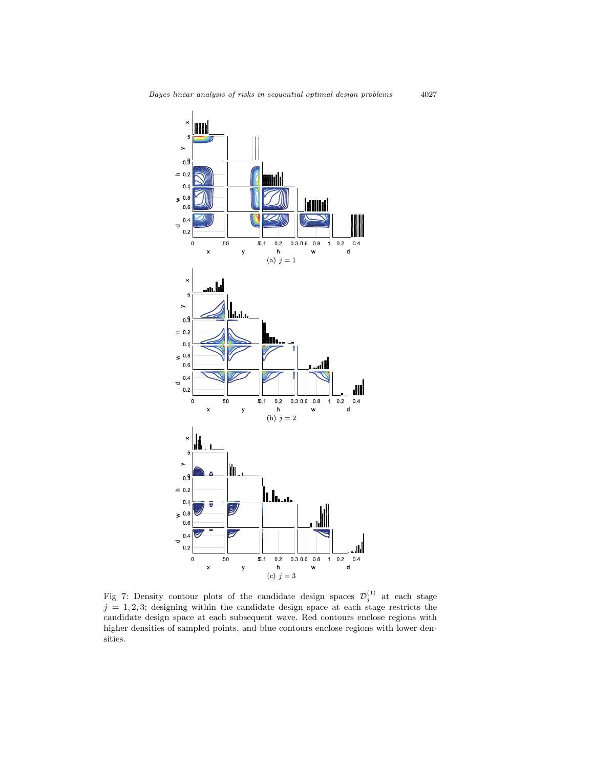<span id="page-26-0"></span>

Fig 7: Density contour plots of the candidate design spaces  $\mathcal{D}_j^{(1)}$  at each stage  $j = 1, 2, 3$ ; designing within the candidate design space at each stage restricts the candidate design space at each subsequent wave. Red contours enclose regions with higher densities of sampled points, and blue contours enclose regions with lower densities.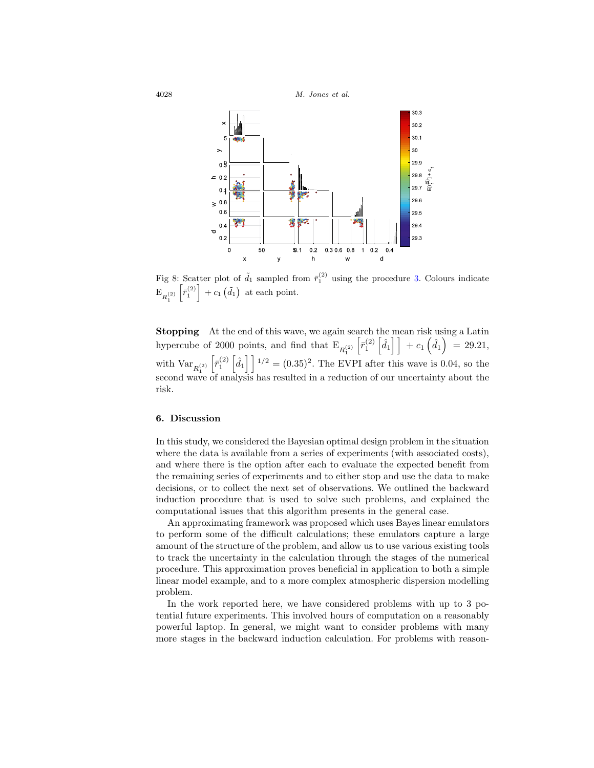

Fig 8: Scatter plot of  $\tilde{d}_1$  sampled from  $\bar{r}_1^{(2)}$  using the procedure 3. Colours indicate  $\mathbb{E}_{R_1^{(2)}}\left[\bar{r}_1^{(2)}\right] + c_1\left(\tilde{d}_1\right)$  at each point. 1

**Stopping** At the end of this wave, we again search the mean risk using a Latin hypercube of 2000 points, and find that  $\mathrm{E}_{R_{1}^{(2)}}$  $\left[\bar{r}_1^{(2)}\left[\hat{d}_1\right]\right] + c_1\left(\hat{d}_1\right) = 29.21,$ with  $Var_{R_1^{(2)}}$  $\left[\bar{r}_1^{(2)}\left[\hat{d}_1\right]\right]^{1/2} = (0.35)^2$ . The EVPI after this wave is 0.04, so the second wave of analysis has resulted in a reduction of our uncertainty about the risk.

#### <span id="page-27-0"></span>**6. Discussion**

In this study, we considered the Bayesian optimal design problem in the situation where the data is available from a series of experiments (with associated costs), and where there is the option after each to evaluate the expected benefit from the remaining series of experiments and to either stop and use the data to make decisions, or to collect the next set of observations. We outlined the backward induction procedure that is used to solve such problems, and explained the computational issues that this algorithm presents in the general case.

An approximating framework was proposed which uses Bayes linear emulators to perform some of the difficult calculations; these emulators capture a large amount of the structure of the problem, and allow us to use various existing tools to track the uncertainty in the calculation through the stages of the numerical procedure. This approximation proves beneficial in application to both a simple linear model example, and to a more complex atmospheric dispersion modelling problem.

In the work reported here, we have considered problems with up to 3 potential future experiments. This involved hours of computation on a reasonably powerful laptop. In general, we might want to consider problems with many more stages in the backward induction calculation. For problems with reason-

<span id="page-27-1"></span>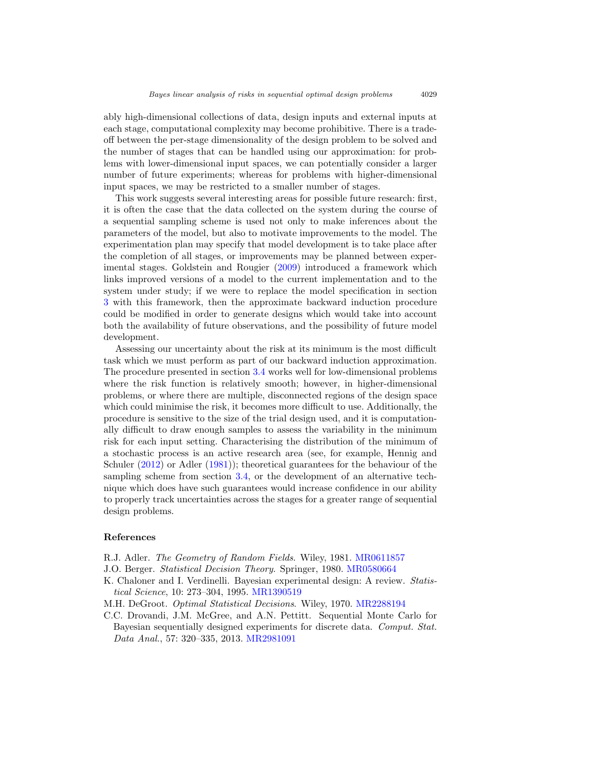ably high-dimensional collections of data, design inputs and external inputs at each stage, computational complexity may become prohibitive. There is a tradeoff between the per-stage dimensionality of the design problem to be solved and the number of stages that can be handled using our approximation: for problems with lower-dimensional input spaces, we can potentially consider a larger number of future experiments; whereas for problems with higher-dimensional input spaces, we may be restricted to a smaller number of stages.

This work suggests several interesting areas for possible future research: first, it is often the case that the data collected on the system during the course of a sequential sampling scheme is used not only to make inferences about the parameters of the model, but also to motivate improvements to the model. The experimentation plan may specify that model development is to take place after the completion of all stages, or improvements may be planned between experimental stages. Goldstein and Rougier [\(2009](#page-29-15)) introduced a framework which links improved versions of a model to the current implementation and to the system under study; if we were to replace the model specification in section [3](#page-9-0) with this framework, then the approximate backward induction procedure could be modified in order to generate designs which would take into account both the availability of future observations, and the possibility of future model development.

Assessing our uncertainty about the risk at its minimum is the most difficult task which we must perform as part of our backward induction approximation. The procedure presented in section [3.4](#page-13-0) works well for low-dimensional problems where the risk function is relatively smooth; however, in higher-dimensional problems, or where there are multiple, disconnected regions of the design space which could minimise the risk, it becomes more difficult to use. Additionally, the procedure is sensitive to the size of the trial design used, and it is computationally difficult to draw enough samples to assess the variability in the minimum risk for each input setting. Characterising the distribution of the minimum of a stochastic process is an active research area (see, for example, Hennig and Schuler [\(2012](#page-29-11)) or Adler [\(1981](#page-28-5))); theoretical guarantees for the behaviour of the sampling scheme from section [3.4,](#page-13-0) or the development of an alternative technique which does have such guarantees would increase confidence in our ability to properly track uncertainties across the stages for a greater range of sequential design problems.

#### <span id="page-28-0"></span>**References**

- <span id="page-28-5"></span>R.J. Adler. The Geometry of Random Fields. Wiley, 1981. [MR0611857](http://www.ams.org/mathscinet-getitem?mr=0611857)
- <span id="page-28-3"></span>J.O. Berger. Statistical Decision Theory. Springer, 1980. [MR0580664](http://www.ams.org/mathscinet-getitem?mr=0580664)
- <span id="page-28-2"></span>K. Chaloner and I. Verdinelli. Bayesian experimental design: A review. Statistical Science, 10: 273–304, 1995. [MR1390519](http://www.ams.org/mathscinet-getitem?mr=1390519)
- <span id="page-28-1"></span>M.H. DeGroot. Optimal Statistical Decisions. Wiley, 1970. [MR2288194](http://www.ams.org/mathscinet-getitem?mr=2288194)
- <span id="page-28-4"></span>C.C. Drovandi, J.M. McGree, and A.N. Pettitt. Sequential Monte Carlo for Bayesian sequentially designed experiments for discrete data. Comput. Stat. Data Anal., 57: 320–335, 2013. [MR2981091](http://www.ams.org/mathscinet-getitem?mr=2981091)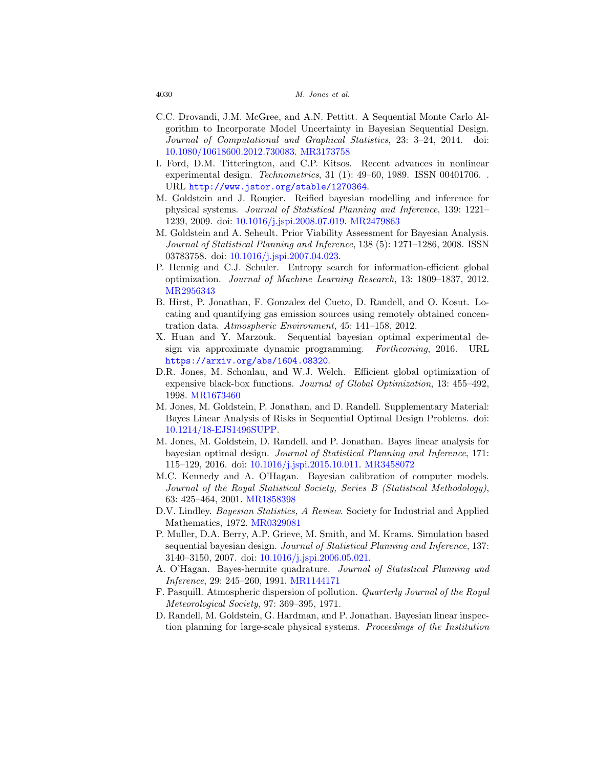- <span id="page-29-9"></span>C.C. Drovandi, J.M. McGree, and A.N. Pettitt. A Sequential Monte Carlo Algorithm to Incorporate Model Uncertainty in Bayesian Sequential Design. Journal of Computational and Graphical Statistics, 23: 3–24, 2014. doi: [10.1080/10618600.2012.730083.](http://dx.doi.org/10.1016/10.1080/10618600.2012.730083) [MR3173758](http://www.ams.org/mathscinet-getitem?mr=3173758)
- <span id="page-29-4"></span>I. Ford, D.M. Titterington, and C.P. Kitsos. Recent advances in nonlinear experimental design. Technometrics, 31 (1): 49–60, 1989. ISSN 00401706. . URL <http://www.jstor.org/stable/1270364>.
- <span id="page-29-15"></span>M. Goldstein and J. Rougier. Reified bayesian modelling and inference for physical systems. Journal of Statistical Planning and Inference, 139: 1221– 1239, 2009. doi: [10.1016/j.jspi.2008.07.019.](http://dx.doi.org/10.1016/j.jspi.2008.07.019) [MR2479863](http://www.ams.org/mathscinet-getitem?mr=2479863)
- <span id="page-29-13"></span>M. Goldstein and A. Seheult. Prior Viability Assessment for Bayesian Analysis. Journal of Statistical Planning and Inference, 138 (5): 1271–1286, 2008. ISSN 03783758. doi: [10.1016/j.jspi.2007.04.023.](http://dx.doi.org/10.1016/j.jspi.2007.04.023)
- <span id="page-29-11"></span>P. Hennig and C.J. Schuler. Entropy search for information-efficient global optimization. Journal of Machine Learning Research, 13: 1809–1837, 2012. [MR2956343](http://www.ams.org/mathscinet-getitem?mr=2956343)
- <span id="page-29-14"></span>B. Hirst, P. Jonathan, F. Gonzalez del Cueto, D. Randell, and O. Kosut. Locating and quantifying gas emission sources using remotely obtained concentration data. Atmospheric Environment, 45: 141–158, 2012.
- <span id="page-29-8"></span>X. Huan and Y. Marzouk. Sequential bayesian optimal experimental design via approximate dynamic programming. Forthcoming, 2016. URL <https://arxiv.org/abs/1604.08320>.
- <span id="page-29-12"></span>D.R. Jones, M. Schonlau, and W.J. Welch. Efficient global optimization of expensive black-box functions. Journal of Global Optimization, 13: 455–492, 1998. [MR1673460](http://www.ams.org/mathscinet-getitem?mr=1673460)
- <span id="page-29-7"></span>M. Jones, M. Goldstein, P. Jonathan, and D. Randell. Supplementary Material: Bayes Linear Analysis of Risks in Sequential Optimal Design Problems. doi: [10.1214/18-EJS1496SUPP.](http://dx.doi.org/10.1214/18-EJS1496SUPP)
- <span id="page-29-6"></span>M. Jones, M. Goldstein, D. Randell, and P. Jonathan. Bayes linear analysis for bayesian optimal design. Journal of Statistical Planning and Inference, 171: 115–129, 2016. doi: [10.1016/j.jspi.2015.10.011.](http://dx.doi.org/10.1016/j.jspi.2015.10.011) [MR3458072](http://www.ams.org/mathscinet-getitem?mr=3458072)
- <span id="page-29-1"></span>M.C. Kennedy and A. O'Hagan. Bayesian calibration of computer models. Journal of the Royal Statistical Society, Series B (Statistical Methodology), 63: 425–464, 2001. [MR1858398](http://www.ams.org/mathscinet-getitem?mr=1858398)
- <span id="page-29-2"></span>D.V. Lindley. Bayesian Statistics, A Review. Society for Industrial and Applied Mathematics, 1972. [MR0329081](http://www.ams.org/mathscinet-getitem?mr=0329081)
- <span id="page-29-5"></span>P. Muller, D.A. Berry, A.P. Grieve, M. Smith, and M. Krams. Simulation based sequential bayesian design. Journal of Statistical Planning and Inference, 137: 3140–3150, 2007. doi: [10.1016/j.jspi.2006.05.021.](http://dx.doi.org/10.1016/j.jspi.2006.05.021)
- <span id="page-29-10"></span>A. O'Hagan. Bayes-hermite quadrature. Journal of Statistical Planning and Inference, 29: 245–260, 1991. [MR1144171](http://www.ams.org/mathscinet-getitem?mr=1144171)
- <span id="page-29-0"></span>F. Pasquill. Atmospheric dispersion of pollution. Quarterly Journal of the Royal Meteorological Society, 97: 369–395, 1971.
- <span id="page-29-3"></span>D. Randell, M. Goldstein, G. Hardman, and P. Jonathan. Bayesian linear inspection planning for large-scale physical systems. Proceedings of the Institution